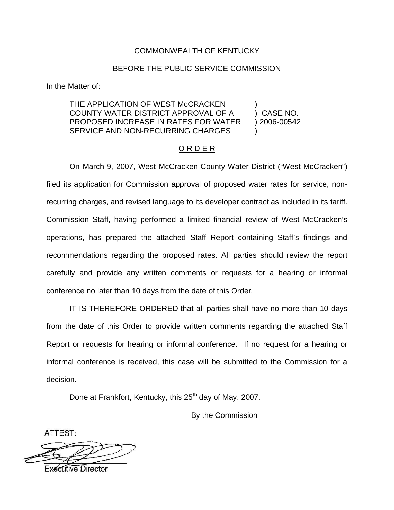### COMMONWEALTH OF KENTUCKY

### BEFORE THE PUBLIC SERVICE COMMISSION

In the Matter of:

### THE APPLICATION OF WEST McCRACKEN COUNTY WATER DISTRICT APPROVAL OF A ) CASE NO. PROPOSED INCREASE IN RATES FOR WATER ) 2006-00542 SERVICE AND NON-RECURRING CHARGES

### O R D E R

On March 9, 2007, West McCracken County Water District ("West McCracken") filed its application for Commission approval of proposed water rates for service, nonrecurring charges, and revised language to its developer contract as included in its tariff. Commission Staff, having performed a limited financial review of West McCracken's operations, has prepared the attached Staff Report containing Staff's findings and recommendations regarding the proposed rates. All parties should review the report carefully and provide any written comments or requests for a hearing or informal conference no later than 10 days from the date of this Order.

IT IS THEREFORE ORDERED that all parties shall have no more than 10 days from the date of this Order to provide written comments regarding the attached Staff Report or requests for hearing or informal conference. If no request for a hearing or informal conference is received, this case will be submitted to the Commission for a decision.

Done at Frankfort, Kentucky, this 25<sup>th</sup> day of May, 2007.

By the Commission

ATTEST:

**xecutive Director**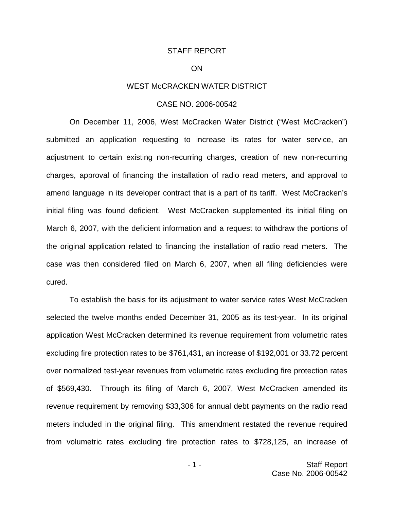### STAFF REPORT

### ON

### WEST MCCRACKEN WATER DISTRICT

### CASE NO. 2006-00542

On December 11, 2006, West McCracken Water District ("West McCracken") submitted an application requesting to increase its rates for water service, an adjustment to certain existing non-recurring charges, creation of new non-recurring charges, approval of financing the installation of radio read meters, and approval to amend language in its developer contract that is a part of its tariff. West McCracken's initial filing was found deficient. West McCracken supplemented its initial filing on March 6, 2007, with the deficient information and a request to withdraw the portions of the original application related to financing the installation of radio read meters. The case was then considered filed on March 6, 2007, when all filing deficiencies were cured.

To establish the basis for its adjustment to water service rates West McCracken selected the twelve months ended December 31, 2005 as its test-year. In its original application West McCracken determined its revenue requirement from volumetric rates excluding fire protection rates to be \$761,431, an increase of \$192,001 or 33.72 percent over normalized test-year revenues from volumetric rates excluding fire protection rates of \$569,430. Through its filing of March 6, 2007, West McCracken amended its revenue requirement by removing \$33,306 for annual debt payments on the radio read meters included in the original filing. This amendment restated the revenue required from volumetric rates excluding fire protection rates to \$728,125, an increase of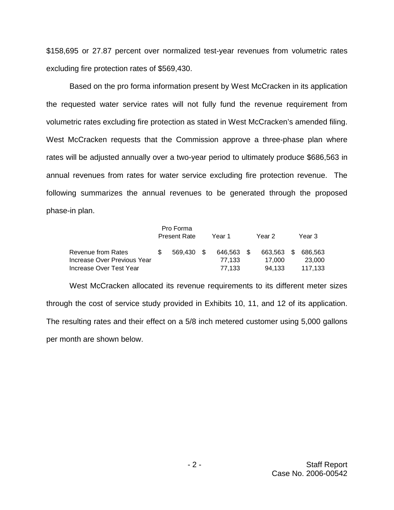\$158,695 or 27.87 percent over normalized test-year revenues from volumetric rates excluding fire protection rates of \$569,430.

Based on the pro forma information present by West McCracken in its application the requested water service rates will not fully fund the revenue requirement from volumetric rates excluding fire protection as stated in West McCracken's amended filing. West McCracken requests that the Commission approve a three-phase plan where rates will be adjusted annually over a two-year period to ultimately produce \$686,563 in annual revenues from rates for water service excluding fire protection revenue. The following summarizes the annual revenues to be generated through the proposed phase-in plan.

|                             | Pro Forma<br><b>Present Rate</b><br>Year 1 |         |               | Year 2  |      |         | Year 3 |         |
|-----------------------------|--------------------------------------------|---------|---------------|---------|------|---------|--------|---------|
| Revenue from Rates          | \$.                                        | 569.430 | $\mathcal{S}$ | 646.563 | - \$ | 663.563 | -SS    | 686.563 |
| Increase Over Previous Year |                                            |         |               | 77.133  |      | 17.000  |        | 23.000  |
| Increase Over Test Year     |                                            |         |               | 77.133  |      | 94.133  |        | 117.133 |

West McCracken allocated its revenue requirements to its different meter sizes through the cost of service study provided in Exhibits 10, 11, and 12 of its application. The resulting rates and their effect on a 5/8 inch metered customer using 5,000 gallons per month are shown below.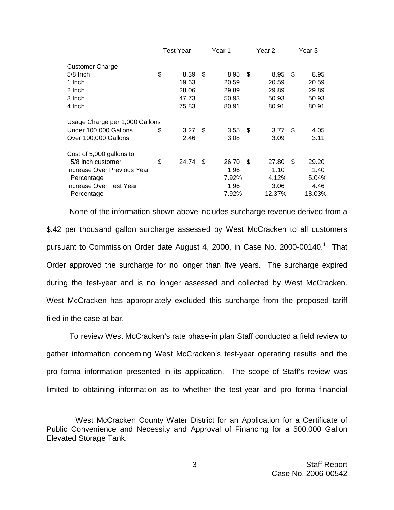|                                | Test Year   |     | Year 1 |    | Year 2 | Year <sub>3</sub> |
|--------------------------------|-------------|-----|--------|----|--------|-------------------|
| <b>Customer Charge</b>         |             |     |        |    |        |                   |
| $5/8$ Inch                     | \$<br>8.39  | \$. | 8.95   | S  | 8.95   | \$<br>8.95        |
| 1 Inch                         | 19.63       |     | 20.59  |    | 20.59  | 20.59             |
| 2 Inch                         | 28.06       |     | 29.89  |    | 29.89  | 29.89             |
| 3 Inch                         | 47.73       |     | 50.93  |    | 50.93  | 50.93             |
| 4 Inch                         | 75.83       |     | 80.91  |    | 80.91  | 80.91             |
| Usage Charge per 1,000 Gallons |             |     |        |    |        |                   |
| Under 100,000 Gallons          | \$<br>3.27  | \$. | 3.55   | \$ | 3.77   | \$<br>4.05        |
| Over 100,000 Gallons           | 2.46        |     | 3.08   |    | 3.09   | 3.11              |
| Cost of 5,000 gallons to       |             |     |        |    |        |                   |
| 5/8 inch customer              | \$<br>24.74 | \$. | 26.70  | \$ | 27.80  | \$<br>29.20       |
| Increase Over Previous Year    |             |     | 1.96   |    | 1.10   | 1.40              |
| Percentage                     |             |     | 7.92%  |    | 4.12%  | 5.04%             |
| Increase Over Test Year        |             |     | 1.96   |    | 3.06   | 4.46              |
| Percentage                     |             |     | 7.92%  |    | 12.37% | 18.03%            |

None of the information shown above includes surcharge revenue derived from a \$.42 per thousand gallon surcharge assessed by West McCracken to all customers pursuant to Commission Order date August 4, 2000, in Case No. 2000-00140.<sup>1</sup> That Order approved the surcharge for no longer than five years. The surcharge expired during the test-year and is no longer assessed and collected by West McCracken. West McCracken has appropriately excluded this surcharge from the proposed tariff filed in the case at bar.

To review West McCracken's rate phase-in plan Staff conducted a field review to gather information concerning West McCracken's test-year operating results and the pro forma information presented in its application. The scope of Staff's review was limited to obtaining information as to whether the test-year and pro forma financial

<sup>&</sup>lt;sup>1</sup> West McCracken County Water District for an Application for a Certificate of Public Convenience and Necessity and Approval of Financing for a 500,000 Gallon Elevated Storage Tank.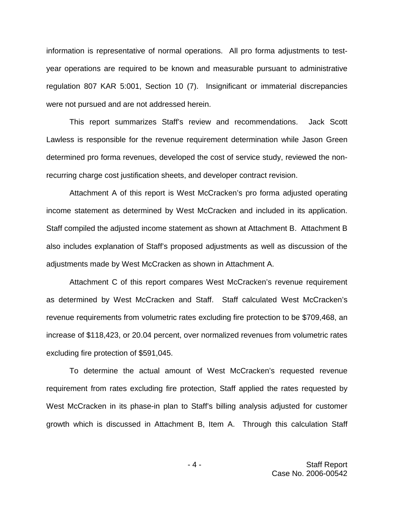information is representative of normal operations. All pro forma adjustments to testyear operations are required to be known and measurable pursuant to administrative regulation 807 KAR 5:001, Section 10 (7). Insignificant or immaterial discrepancies were not pursued and are not addressed herein.

This report summarizes Staff's review and recommendations. Jack Scott Lawless is responsible for the revenue requirement determination while Jason Green determined pro forma revenues, developed the cost of service study, reviewed the nonrecurring charge cost justification sheets, and developer contract revision.

Attachment A of this report is West McCracken's pro forma adjusted operating income statement as determined by West McCracken and included in its application. Staff compiled the adjusted income statement as shown at Attachment B. Attachment B also includes explanation of Staff's proposed adjustments as well as discussion of the adjustments made by West McCracken as shown in Attachment A.

Attachment C of this report compares West McCracken's revenue requirement as determined by West McCracken and Staff. Staff calculated West McCracken's revenue requirements from volumetric rates excluding fire protection to be \$709,468, an increase of \$118,423, or 20.04 percent, over normalized revenues from volumetric rates excluding fire protection of \$591,045.

To determine the actual amount of West McCracken's requested revenue requirement from rates excluding fire protection, Staff applied the rates requested by West McCracken in its phase-in plan to Staff's billing analysis adjusted for customer growth which is discussed in Attachment B, Item A. Through this calculation Staff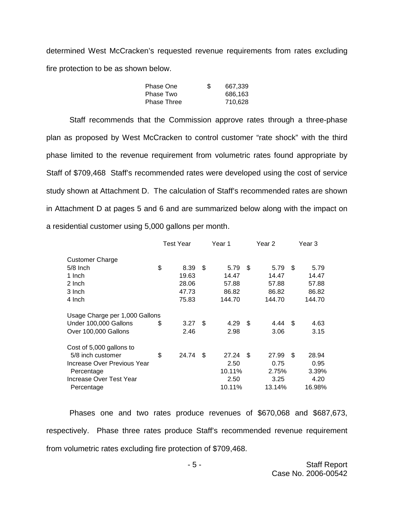determined West McCracken's requested revenue requirements from rates excluding fire protection to be as shown below.

| Phase One   | \$. | 667,339 |
|-------------|-----|---------|
| Phase Two   |     | 686,163 |
| Phase Three |     | 710,628 |

Staff recommends that the Commission approve rates through a three-phase plan as proposed by West McCracken to control customer "rate shock" with the third phase limited to the revenue requirement from volumetric rates found appropriate by Staff of \$709,468 Staff's recommended rates were developed using the cost of service study shown at Attachment D. The calculation of Staff's recommended rates are shown in Attachment D at pages 5 and 6 and are summarized below along with the impact on a residential customer using 5,000 gallons per month.

|                                | <b>Test Year</b> |     | Year 1 |     | Year 2 |      | Year 3 |
|--------------------------------|------------------|-----|--------|-----|--------|------|--------|
| Customer Charge                |                  |     |        |     |        |      |        |
| $5/8$ Inch                     | \$<br>8.39       | \$. | 5.79   | \$  | 5.79   | \$.  | 5.79   |
| 1 Inch                         | 19.63            |     | 14.47  |     | 14.47  |      | 14.47  |
| 2 Inch                         | 28.06            |     | 57.88  |     | 57.88  |      | 57.88  |
| 3 Inch                         | 47.73            |     | 86.82  |     | 86.82  |      | 86.82  |
| 4 Inch                         | 75.83            |     | 144.70 |     | 144.70 |      | 144.70 |
| Usage Charge per 1,000 Gallons |                  |     |        |     |        |      |        |
| Under 100,000 Gallons          | \$<br>3.27       | \$. | 4.29   | -\$ | 4.44   | - \$ | 4.63   |
| Over 100,000 Gallons           | 2.46             |     | 2.98   |     | 3.06   |      | 3.15   |
| Cost of 5,000 gallons to       |                  |     |        |     |        |      |        |
| 5/8 inch customer              | \$<br>24.74      | \$  | 27.24  | \$  | 27.99  | \$   | 28.94  |
| Increase Over Previous Year    |                  |     | 2.50   |     | 0.75   |      | 0.95   |
| Percentage                     |                  |     | 10.11% |     | 2.75%  |      | 3.39%  |
| Increase Over Test Year        |                  |     | 2.50   |     | 3.25   |      | 4.20   |
| Percentage                     |                  |     | 10.11% |     | 13.14% |      | 16.98% |

Phases one and two rates produce revenues of \$670,068 and \$687,673, respectively. Phase three rates produce Staff's recommended revenue requirement from volumetric rates excluding fire protection of \$709,468.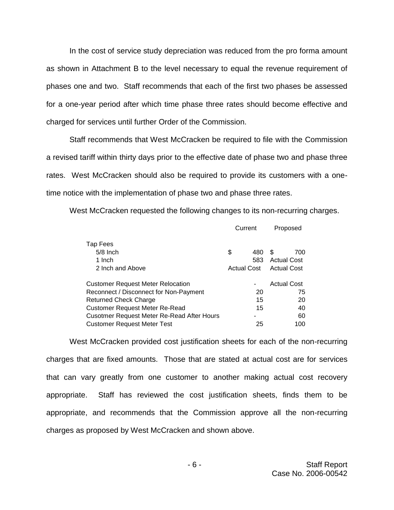In the cost of service study depreciation was reduced from the pro forma amount as shown in Attachment B to the level necessary to equal the revenue requirement of phases one and two. Staff recommends that each of the first two phases be assessed for a one-year period after which time phase three rates should become effective and charged for services until further Order of the Commission.

Staff recommends that West McCracken be required to file with the Commission a revised tariff within thirty days prior to the effective date of phase two and phase three rates. West McCracken should also be required to provide its customers with a onetime notice with the implementation of phase two and phase three rates.

West McCracken requested the following changes to its non-recurring charges.

|                                            | Current            |     | Proposed           |     |
|--------------------------------------------|--------------------|-----|--------------------|-----|
| Tap Fees                                   |                    |     |                    |     |
| $5/8$ Inch                                 | \$                 | 480 | S                  | 700 |
| 1 Inch                                     |                    | 583 | <b>Actual Cost</b> |     |
| 2 Inch and Above                           | <b>Actual Cost</b> |     | <b>Actual Cost</b> |     |
| <b>Customer Request Meter Relocation</b>   |                    |     | <b>Actual Cost</b> |     |
| Reconnect / Disconnect for Non-Payment     |                    | 20  |                    | 75  |
| <b>Returned Check Charge</b>               |                    | 15  |                    | 20  |
| <b>Customer Request Meter Re-Read</b>      |                    | 15  |                    | 40  |
| Cusotmer Request Meter Re-Read After Hours |                    |     |                    | 60  |
| Customer Request Meter Test                |                    | 25  |                    | 100 |

West McCracken provided cost justification sheets for each of the non-recurring charges that are fixed amounts. Those that are stated at actual cost are for services that can vary greatly from one customer to another making actual cost recovery appropriate. Staff has reviewed the cost justification sheets, finds them to be appropriate, and recommends that the Commission approve all the non-recurring charges as proposed by West McCracken and shown above.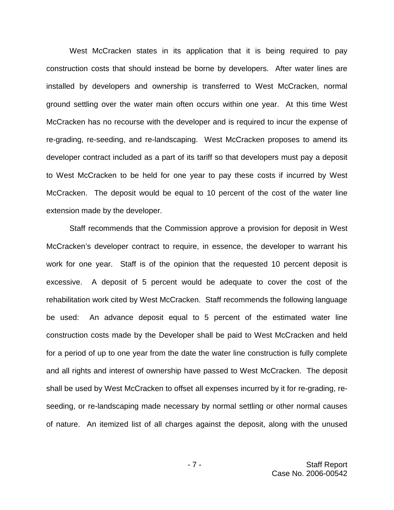West McCracken states in its application that it is being required to pay construction costs that should instead be borne by developers. After water lines are installed by developers and ownership is transferred to West McCracken, normal ground settling over the water main often occurs within one year. At this time West McCracken has no recourse with the developer and is required to incur the expense of re-grading, re-seeding, and re-landscaping. West McCracken proposes to amend its developer contract included as a part of its tariff so that developers must pay a deposit to West McCracken to be held for one year to pay these costs if incurred by West McCracken. The deposit would be equal to 10 percent of the cost of the water line extension made by the developer.

Staff recommends that the Commission approve a provision for deposit in West McCracken's developer contract to require, in essence, the developer to warrant his work for one year. Staff is of the opinion that the requested 10 percent deposit is excessive. A deposit of 5 percent would be adequate to cover the cost of the rehabilitation work cited by West McCracken. Staff recommends the following language be used: An advance deposit equal to 5 percent of the estimated water line construction costs made by the Developer shall be paid to West McCracken and held for a period of up to one year from the date the water line construction is fully complete and all rights and interest of ownership have passed to West McCracken. The deposit shall be used by West McCracken to offset all expenses incurred by it for re-grading, reseeding, or re-landscaping made necessary by normal settling or other normal causes of nature. An itemized list of all charges against the deposit, along with the unused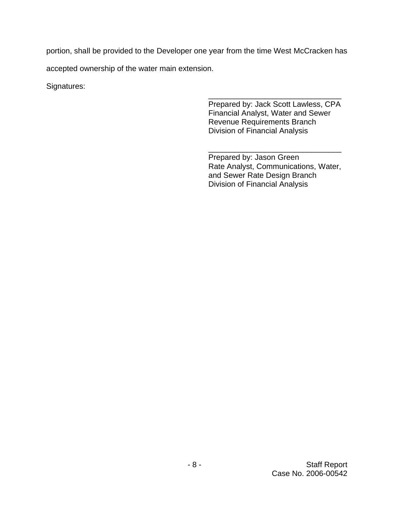portion, shall be provided to the Developer one year from the time West McCracken has accepted ownership of the water main extension.

Signatures:

\_\_\_\_\_\_\_\_\_\_\_\_\_\_\_\_\_\_\_\_\_\_\_\_\_\_\_\_\_\_\_ Prepared by: Jack Scott Lawless, CPA Financial Analyst, Water and Sewer Revenue Requirements Branch Division of Financial Analysis

\_\_\_\_\_\_\_\_\_\_\_\_\_\_\_\_\_\_\_\_\_\_\_\_\_\_\_\_\_\_\_ Prepared by: Jason Green Rate Analyst, Communications, Water, and Sewer Rate Design Branch Division of Financial Analysis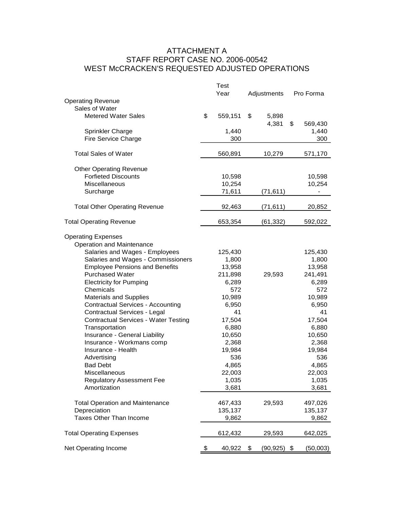### ATTACHMENT A STAFF REPORT CASE NO. 2006-00542 WEST McCRACKEN'S REQUESTED ADJUSTED OPERATIONS

| Pro Forma<br>Adjustments<br><b>Operating Revenue</b><br>Sales of Water<br>\$<br><b>Metered Water Sales</b><br>559,151<br>\$<br>5,898<br>4,381<br>\$<br>569,430<br>Sprinkler Charge<br>1,440<br>1,440<br><b>Fire Service Charge</b><br>300<br>300<br><b>Total Sales of Water</b><br>560,891<br>10,279<br>571,170<br><b>Other Operating Revenue</b><br><b>Forfieted Discounts</b><br>10,598<br>10,598<br>10,254<br>Miscellaneous<br>10,254<br>71,611<br>(71, 611)<br>Surcharge<br><b>Total Other Operating Revenue</b><br>92,463<br>(71, 611)<br>20,852<br>653,354<br>(61, 332)<br>592,022<br><b>Operating Expenses</b><br>Operation and Maintenance<br>Salaries and Wages - Employees<br>125,430<br>125,430<br>Salaries and Wages - Commissioners<br>1,800<br>1,800<br>13,958<br><b>Employee Pensions and Benefits</b><br>13,958<br>241,491<br><b>Purchased Water</b><br>211,898<br>29,593<br><b>Electricity for Pumping</b><br>6,289<br>6,289<br>Chemicals<br>572<br>572<br><b>Materials and Supplies</b><br>10,989<br>10,989<br><b>Contractual Services - Accounting</b><br>6,950<br>6,950<br>Contractual Services - Legal<br>41<br>41<br><b>Contractual Services - Water Testing</b><br>17,504<br>17,504<br>6,880<br>6,880<br>Transportation<br>10,650<br>10,650<br>Insurance - General Liability<br>2,368<br>2,368<br>Insurance - Workmans comp<br>19,984<br>Insurance - Health<br>19,984<br>536<br>Advertising<br>536<br><b>Bad Debt</b><br>4,865<br>4,865<br>Miscellaneous<br>22,003<br>22,003<br><b>Regulatory Assessment Fee</b><br>1,035<br>1,035<br>Amortization<br>3,681<br>3,681<br><b>Total Operation and Maintenance</b><br>467,433<br>29,593<br>497,026<br>Depreciation<br>135,137<br>135,137<br>Taxes Other Than Income<br>9,862<br>9,862<br>612,432<br>29,593<br>642,025<br>40,922<br>\$<br>$(90, 925)$ \$<br>\$<br>(50,003) |                                 | Test |  |  |
|----------------------------------------------------------------------------------------------------------------------------------------------------------------------------------------------------------------------------------------------------------------------------------------------------------------------------------------------------------------------------------------------------------------------------------------------------------------------------------------------------------------------------------------------------------------------------------------------------------------------------------------------------------------------------------------------------------------------------------------------------------------------------------------------------------------------------------------------------------------------------------------------------------------------------------------------------------------------------------------------------------------------------------------------------------------------------------------------------------------------------------------------------------------------------------------------------------------------------------------------------------------------------------------------------------------------------------------------------------------------------------------------------------------------------------------------------------------------------------------------------------------------------------------------------------------------------------------------------------------------------------------------------------------------------------------------------------------------------------------------------------------------------------------------------------------------------------------------|---------------------------------|------|--|--|
|                                                                                                                                                                                                                                                                                                                                                                                                                                                                                                                                                                                                                                                                                                                                                                                                                                                                                                                                                                                                                                                                                                                                                                                                                                                                                                                                                                                                                                                                                                                                                                                                                                                                                                                                                                                                                                              |                                 | Year |  |  |
|                                                                                                                                                                                                                                                                                                                                                                                                                                                                                                                                                                                                                                                                                                                                                                                                                                                                                                                                                                                                                                                                                                                                                                                                                                                                                                                                                                                                                                                                                                                                                                                                                                                                                                                                                                                                                                              |                                 |      |  |  |
|                                                                                                                                                                                                                                                                                                                                                                                                                                                                                                                                                                                                                                                                                                                                                                                                                                                                                                                                                                                                                                                                                                                                                                                                                                                                                                                                                                                                                                                                                                                                                                                                                                                                                                                                                                                                                                              |                                 |      |  |  |
|                                                                                                                                                                                                                                                                                                                                                                                                                                                                                                                                                                                                                                                                                                                                                                                                                                                                                                                                                                                                                                                                                                                                                                                                                                                                                                                                                                                                                                                                                                                                                                                                                                                                                                                                                                                                                                              |                                 |      |  |  |
|                                                                                                                                                                                                                                                                                                                                                                                                                                                                                                                                                                                                                                                                                                                                                                                                                                                                                                                                                                                                                                                                                                                                                                                                                                                                                                                                                                                                                                                                                                                                                                                                                                                                                                                                                                                                                                              |                                 |      |  |  |
|                                                                                                                                                                                                                                                                                                                                                                                                                                                                                                                                                                                                                                                                                                                                                                                                                                                                                                                                                                                                                                                                                                                                                                                                                                                                                                                                                                                                                                                                                                                                                                                                                                                                                                                                                                                                                                              |                                 |      |  |  |
|                                                                                                                                                                                                                                                                                                                                                                                                                                                                                                                                                                                                                                                                                                                                                                                                                                                                                                                                                                                                                                                                                                                                                                                                                                                                                                                                                                                                                                                                                                                                                                                                                                                                                                                                                                                                                                              |                                 |      |  |  |
|                                                                                                                                                                                                                                                                                                                                                                                                                                                                                                                                                                                                                                                                                                                                                                                                                                                                                                                                                                                                                                                                                                                                                                                                                                                                                                                                                                                                                                                                                                                                                                                                                                                                                                                                                                                                                                              |                                 |      |  |  |
|                                                                                                                                                                                                                                                                                                                                                                                                                                                                                                                                                                                                                                                                                                                                                                                                                                                                                                                                                                                                                                                                                                                                                                                                                                                                                                                                                                                                                                                                                                                                                                                                                                                                                                                                                                                                                                              |                                 |      |  |  |
|                                                                                                                                                                                                                                                                                                                                                                                                                                                                                                                                                                                                                                                                                                                                                                                                                                                                                                                                                                                                                                                                                                                                                                                                                                                                                                                                                                                                                                                                                                                                                                                                                                                                                                                                                                                                                                              |                                 |      |  |  |
|                                                                                                                                                                                                                                                                                                                                                                                                                                                                                                                                                                                                                                                                                                                                                                                                                                                                                                                                                                                                                                                                                                                                                                                                                                                                                                                                                                                                                                                                                                                                                                                                                                                                                                                                                                                                                                              |                                 |      |  |  |
|                                                                                                                                                                                                                                                                                                                                                                                                                                                                                                                                                                                                                                                                                                                                                                                                                                                                                                                                                                                                                                                                                                                                                                                                                                                                                                                                                                                                                                                                                                                                                                                                                                                                                                                                                                                                                                              |                                 |      |  |  |
|                                                                                                                                                                                                                                                                                                                                                                                                                                                                                                                                                                                                                                                                                                                                                                                                                                                                                                                                                                                                                                                                                                                                                                                                                                                                                                                                                                                                                                                                                                                                                                                                                                                                                                                                                                                                                                              |                                 |      |  |  |
|                                                                                                                                                                                                                                                                                                                                                                                                                                                                                                                                                                                                                                                                                                                                                                                                                                                                                                                                                                                                                                                                                                                                                                                                                                                                                                                                                                                                                                                                                                                                                                                                                                                                                                                                                                                                                                              |                                 |      |  |  |
|                                                                                                                                                                                                                                                                                                                                                                                                                                                                                                                                                                                                                                                                                                                                                                                                                                                                                                                                                                                                                                                                                                                                                                                                                                                                                                                                                                                                                                                                                                                                                                                                                                                                                                                                                                                                                                              |                                 |      |  |  |
|                                                                                                                                                                                                                                                                                                                                                                                                                                                                                                                                                                                                                                                                                                                                                                                                                                                                                                                                                                                                                                                                                                                                                                                                                                                                                                                                                                                                                                                                                                                                                                                                                                                                                                                                                                                                                                              |                                 |      |  |  |
|                                                                                                                                                                                                                                                                                                                                                                                                                                                                                                                                                                                                                                                                                                                                                                                                                                                                                                                                                                                                                                                                                                                                                                                                                                                                                                                                                                                                                                                                                                                                                                                                                                                                                                                                                                                                                                              | <b>Total Operating Revenue</b>  |      |  |  |
|                                                                                                                                                                                                                                                                                                                                                                                                                                                                                                                                                                                                                                                                                                                                                                                                                                                                                                                                                                                                                                                                                                                                                                                                                                                                                                                                                                                                                                                                                                                                                                                                                                                                                                                                                                                                                                              |                                 |      |  |  |
|                                                                                                                                                                                                                                                                                                                                                                                                                                                                                                                                                                                                                                                                                                                                                                                                                                                                                                                                                                                                                                                                                                                                                                                                                                                                                                                                                                                                                                                                                                                                                                                                                                                                                                                                                                                                                                              |                                 |      |  |  |
|                                                                                                                                                                                                                                                                                                                                                                                                                                                                                                                                                                                                                                                                                                                                                                                                                                                                                                                                                                                                                                                                                                                                                                                                                                                                                                                                                                                                                                                                                                                                                                                                                                                                                                                                                                                                                                              |                                 |      |  |  |
|                                                                                                                                                                                                                                                                                                                                                                                                                                                                                                                                                                                                                                                                                                                                                                                                                                                                                                                                                                                                                                                                                                                                                                                                                                                                                                                                                                                                                                                                                                                                                                                                                                                                                                                                                                                                                                              |                                 |      |  |  |
|                                                                                                                                                                                                                                                                                                                                                                                                                                                                                                                                                                                                                                                                                                                                                                                                                                                                                                                                                                                                                                                                                                                                                                                                                                                                                                                                                                                                                                                                                                                                                                                                                                                                                                                                                                                                                                              |                                 |      |  |  |
|                                                                                                                                                                                                                                                                                                                                                                                                                                                                                                                                                                                                                                                                                                                                                                                                                                                                                                                                                                                                                                                                                                                                                                                                                                                                                                                                                                                                                                                                                                                                                                                                                                                                                                                                                                                                                                              |                                 |      |  |  |
|                                                                                                                                                                                                                                                                                                                                                                                                                                                                                                                                                                                                                                                                                                                                                                                                                                                                                                                                                                                                                                                                                                                                                                                                                                                                                                                                                                                                                                                                                                                                                                                                                                                                                                                                                                                                                                              |                                 |      |  |  |
|                                                                                                                                                                                                                                                                                                                                                                                                                                                                                                                                                                                                                                                                                                                                                                                                                                                                                                                                                                                                                                                                                                                                                                                                                                                                                                                                                                                                                                                                                                                                                                                                                                                                                                                                                                                                                                              |                                 |      |  |  |
|                                                                                                                                                                                                                                                                                                                                                                                                                                                                                                                                                                                                                                                                                                                                                                                                                                                                                                                                                                                                                                                                                                                                                                                                                                                                                                                                                                                                                                                                                                                                                                                                                                                                                                                                                                                                                                              |                                 |      |  |  |
|                                                                                                                                                                                                                                                                                                                                                                                                                                                                                                                                                                                                                                                                                                                                                                                                                                                                                                                                                                                                                                                                                                                                                                                                                                                                                                                                                                                                                                                                                                                                                                                                                                                                                                                                                                                                                                              |                                 |      |  |  |
|                                                                                                                                                                                                                                                                                                                                                                                                                                                                                                                                                                                                                                                                                                                                                                                                                                                                                                                                                                                                                                                                                                                                                                                                                                                                                                                                                                                                                                                                                                                                                                                                                                                                                                                                                                                                                                              |                                 |      |  |  |
|                                                                                                                                                                                                                                                                                                                                                                                                                                                                                                                                                                                                                                                                                                                                                                                                                                                                                                                                                                                                                                                                                                                                                                                                                                                                                                                                                                                                                                                                                                                                                                                                                                                                                                                                                                                                                                              |                                 |      |  |  |
|                                                                                                                                                                                                                                                                                                                                                                                                                                                                                                                                                                                                                                                                                                                                                                                                                                                                                                                                                                                                                                                                                                                                                                                                                                                                                                                                                                                                                                                                                                                                                                                                                                                                                                                                                                                                                                              |                                 |      |  |  |
|                                                                                                                                                                                                                                                                                                                                                                                                                                                                                                                                                                                                                                                                                                                                                                                                                                                                                                                                                                                                                                                                                                                                                                                                                                                                                                                                                                                                                                                                                                                                                                                                                                                                                                                                                                                                                                              |                                 |      |  |  |
|                                                                                                                                                                                                                                                                                                                                                                                                                                                                                                                                                                                                                                                                                                                                                                                                                                                                                                                                                                                                                                                                                                                                                                                                                                                                                                                                                                                                                                                                                                                                                                                                                                                                                                                                                                                                                                              |                                 |      |  |  |
|                                                                                                                                                                                                                                                                                                                                                                                                                                                                                                                                                                                                                                                                                                                                                                                                                                                                                                                                                                                                                                                                                                                                                                                                                                                                                                                                                                                                                                                                                                                                                                                                                                                                                                                                                                                                                                              |                                 |      |  |  |
|                                                                                                                                                                                                                                                                                                                                                                                                                                                                                                                                                                                                                                                                                                                                                                                                                                                                                                                                                                                                                                                                                                                                                                                                                                                                                                                                                                                                                                                                                                                                                                                                                                                                                                                                                                                                                                              |                                 |      |  |  |
|                                                                                                                                                                                                                                                                                                                                                                                                                                                                                                                                                                                                                                                                                                                                                                                                                                                                                                                                                                                                                                                                                                                                                                                                                                                                                                                                                                                                                                                                                                                                                                                                                                                                                                                                                                                                                                              |                                 |      |  |  |
|                                                                                                                                                                                                                                                                                                                                                                                                                                                                                                                                                                                                                                                                                                                                                                                                                                                                                                                                                                                                                                                                                                                                                                                                                                                                                                                                                                                                                                                                                                                                                                                                                                                                                                                                                                                                                                              |                                 |      |  |  |
|                                                                                                                                                                                                                                                                                                                                                                                                                                                                                                                                                                                                                                                                                                                                                                                                                                                                                                                                                                                                                                                                                                                                                                                                                                                                                                                                                                                                                                                                                                                                                                                                                                                                                                                                                                                                                                              |                                 |      |  |  |
|                                                                                                                                                                                                                                                                                                                                                                                                                                                                                                                                                                                                                                                                                                                                                                                                                                                                                                                                                                                                                                                                                                                                                                                                                                                                                                                                                                                                                                                                                                                                                                                                                                                                                                                                                                                                                                              |                                 |      |  |  |
|                                                                                                                                                                                                                                                                                                                                                                                                                                                                                                                                                                                                                                                                                                                                                                                                                                                                                                                                                                                                                                                                                                                                                                                                                                                                                                                                                                                                                                                                                                                                                                                                                                                                                                                                                                                                                                              |                                 |      |  |  |
|                                                                                                                                                                                                                                                                                                                                                                                                                                                                                                                                                                                                                                                                                                                                                                                                                                                                                                                                                                                                                                                                                                                                                                                                                                                                                                                                                                                                                                                                                                                                                                                                                                                                                                                                                                                                                                              |                                 |      |  |  |
|                                                                                                                                                                                                                                                                                                                                                                                                                                                                                                                                                                                                                                                                                                                                                                                                                                                                                                                                                                                                                                                                                                                                                                                                                                                                                                                                                                                                                                                                                                                                                                                                                                                                                                                                                                                                                                              |                                 |      |  |  |
|                                                                                                                                                                                                                                                                                                                                                                                                                                                                                                                                                                                                                                                                                                                                                                                                                                                                                                                                                                                                                                                                                                                                                                                                                                                                                                                                                                                                                                                                                                                                                                                                                                                                                                                                                                                                                                              |                                 |      |  |  |
|                                                                                                                                                                                                                                                                                                                                                                                                                                                                                                                                                                                                                                                                                                                                                                                                                                                                                                                                                                                                                                                                                                                                                                                                                                                                                                                                                                                                                                                                                                                                                                                                                                                                                                                                                                                                                                              |                                 |      |  |  |
|                                                                                                                                                                                                                                                                                                                                                                                                                                                                                                                                                                                                                                                                                                                                                                                                                                                                                                                                                                                                                                                                                                                                                                                                                                                                                                                                                                                                                                                                                                                                                                                                                                                                                                                                                                                                                                              |                                 |      |  |  |
|                                                                                                                                                                                                                                                                                                                                                                                                                                                                                                                                                                                                                                                                                                                                                                                                                                                                                                                                                                                                                                                                                                                                                                                                                                                                                                                                                                                                                                                                                                                                                                                                                                                                                                                                                                                                                                              | <b>Total Operating Expenses</b> |      |  |  |
|                                                                                                                                                                                                                                                                                                                                                                                                                                                                                                                                                                                                                                                                                                                                                                                                                                                                                                                                                                                                                                                                                                                                                                                                                                                                                                                                                                                                                                                                                                                                                                                                                                                                                                                                                                                                                                              | Net Operating Income            |      |  |  |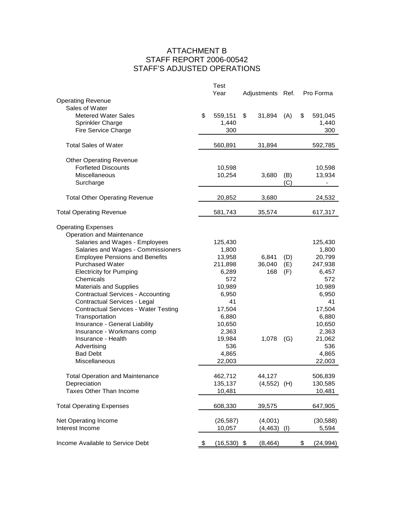### ATTACHMENT B STAFF REPORT 2006-00542 STAFF'S ADJUSTED OPERATIONS

|                                             | Test<br>Year    | Adjustments Ref. |     | Pro Forma       |
|---------------------------------------------|-----------------|------------------|-----|-----------------|
| <b>Operating Revenue</b>                    |                 |                  |     |                 |
| Sales of Water                              |                 |                  |     |                 |
| <b>Metered Water Sales</b>                  | \$<br>559,151   | \$<br>31,894     | (A) | \$<br>591,045   |
| Sprinkler Charge                            | 1,440           |                  |     | 1,440           |
| Fire Service Charge                         | 300             |                  |     | 300             |
| <b>Total Sales of Water</b>                 | 560,891         | 31,894           |     | 592,785         |
| <b>Other Operating Revenue</b>              |                 |                  |     |                 |
| <b>Forfieted Discounts</b>                  | 10,598          |                  |     | 10,598          |
| <b>Miscellaneous</b>                        | 10,254          | 3,680            | (B) | 13,934          |
| Surcharge                                   |                 |                  | (C) |                 |
| <b>Total Other Operating Revenue</b>        | 20,852          | 3,680            |     | 24,532          |
| <b>Total Operating Revenue</b>              | 581,743         | 35,574           |     | 617,317         |
|                                             |                 |                  |     |                 |
| <b>Operating Expenses</b>                   |                 |                  |     |                 |
| Operation and Maintenance                   |                 |                  |     |                 |
| Salaries and Wages - Employees              | 125,430         |                  |     | 125,430         |
| Salaries and Wages - Commissioners          | 1,800           |                  |     | 1,800           |
| <b>Employee Pensions and Benefits</b>       | 13,958          | 6,841            | (D) | 20,799          |
| <b>Purchased Water</b>                      | 211,898         | 36,040           | (E) | 247,938         |
| <b>Electricity for Pumping</b>              | 6,289           | 168              | (F) | 6,457           |
| Chemicals                                   | 572             |                  |     | 572             |
| <b>Materials and Supplies</b>               | 10,989          |                  |     | 10,989          |
| <b>Contractual Services - Accounting</b>    | 6,950           |                  |     | 6,950           |
| Contractual Services - Legal                | 41              |                  |     | 41              |
| <b>Contractual Services - Water Testing</b> | 17,504          |                  |     | 17,504          |
| Transportation                              | 6,880           |                  |     | 6,880           |
| Insurance - General Liability               | 10,650          |                  |     | 10,650          |
| Insurance - Workmans comp                   | 2,363           |                  |     | 2,363           |
| Insurance - Health                          | 19,984          | 1,078            | (G) | 21,062          |
| Advertising                                 | 536             |                  |     | 536             |
| <b>Bad Debt</b>                             | 4,865           |                  |     | 4,865           |
| Miscellaneous                               | 22,003          |                  |     | 22,003          |
| <b>Total Operation and Maintenance</b>      | 462,712         | 44,127           |     | 506,839         |
| Depreciation                                | 135,137         | (4, 552)         | (H) | 130,585         |
| Taxes Other Than Income                     | 10,481          |                  |     | 10,481          |
| <b>Total Operating Expenses</b>             | 608,330         | 39,575           |     | 647,905         |
| Net Operating Income                        | (26, 587)       | (4,001)          |     | (30, 588)       |
| Interest Income                             | 10,057          | (4, 463)         | (1) | 5,594           |
| Income Available to Service Debt            | \$<br>(16, 530) | \$<br>(8, 464)   |     | \$<br>(24, 994) |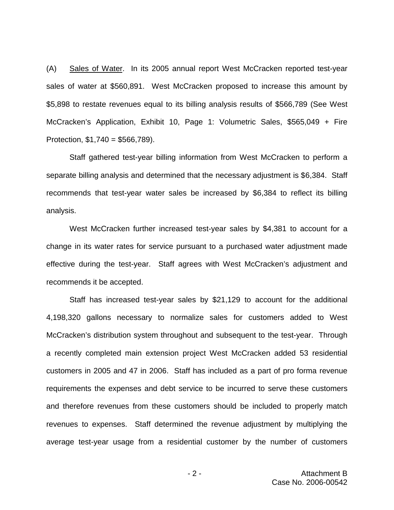(A) Sales of Water. In its 2005 annual report West McCracken reported test-year sales of water at \$560,891. West McCracken proposed to increase this amount by \$5,898 to restate revenues equal to its billing analysis results of \$566,789 (See West McCracken's Application, Exhibit 10, Page 1: Volumetric Sales, \$565,049 + Fire Protection,  $$1,740 = $566,789$ ).

Staff gathered test-year billing information from West McCracken to perform a separate billing analysis and determined that the necessary adjustment is \$6,384. Staff recommends that test-year water sales be increased by \$6,384 to reflect its billing analysis.

West McCracken further increased test-year sales by \$4,381 to account for a change in its water rates for service pursuant to a purchased water adjustment made effective during the test-year. Staff agrees with West McCracken's adjustment and recommends it be accepted.

Staff has increased test-year sales by \$21,129 to account for the additional 4,198,320 gallons necessary to normalize sales for customers added to West McCracken's distribution system throughout and subsequent to the test-year. Through a recently completed main extension project West McCracken added 53 residential customers in 2005 and 47 in 2006. Staff has included as a part of pro forma revenue requirements the expenses and debt service to be incurred to serve these customers and therefore revenues from these customers should be included to properly match revenues to expenses. Staff determined the revenue adjustment by multiplying the average test-year usage from a residential customer by the number of customers

$$
-2-
$$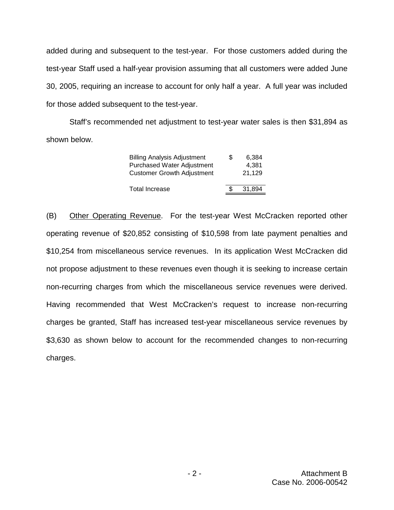added during and subsequent to the test-year. For those customers added during the test-year Staff used a half-year provision assuming that all customers were added June 30, 2005, requiring an increase to account for only half a year. A full year was included for those added subsequent to the test-year.

Staff's recommended net adjustment to test-year water sales is then \$31,894 as shown below.

| <b>Billing Analysis Adjustment</b> | S. | 6.384  |
|------------------------------------|----|--------|
| <b>Purchased Water Adjustment</b>  |    | 4.381  |
| <b>Customer Growth Adjustment</b>  |    | 21,129 |
|                                    |    |        |
| <b>Total Increase</b>              |    | 31,894 |

(B) Other Operating Revenue. For the test-year West McCracken reported other operating revenue of \$20,852 consisting of \$10,598 from late payment penalties and \$10,254 from miscellaneous service revenues. In its application West McCracken did not propose adjustment to these revenues even though it is seeking to increase certain non-recurring charges from which the miscellaneous service revenues were derived. Having recommended that West McCracken's request to increase non-recurring charges be granted, Staff has increased test-year miscellaneous service revenues by \$3,630 as shown below to account for the recommended changes to non-recurring charges.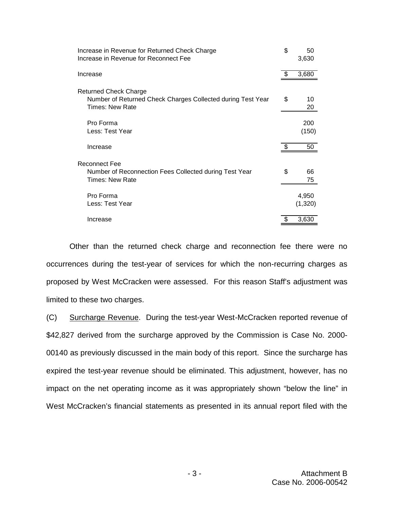| Increase in Revenue for Returned Check Charge<br>Increase in Revenue for Reconnect Fee                         | \$<br>50<br>3,630 |
|----------------------------------------------------------------------------------------------------------------|-------------------|
| Increase                                                                                                       | \$<br>3,680       |
| <b>Returned Check Charge</b><br>Number of Returned Check Charges Collected during Test Year<br>Times: New Rate | \$<br>10<br>20    |
| Pro Forma<br>Less: Test Year                                                                                   | 200<br>(150)      |
| Increase                                                                                                       | \$<br>50          |
| <b>Reconnect Fee</b><br>Number of Reconnection Fees Collected during Test Year<br>Times: New Rate              | \$<br>66<br>75    |
| Pro Forma<br>Less: Test Year                                                                                   | 4,950<br>(1,320)  |
| Increase                                                                                                       | 3,630             |

Other than the returned check charge and reconnection fee there were no occurrences during the test-year of services for which the non-recurring charges as proposed by West McCracken were assessed. For this reason Staff's adjustment was limited to these two charges.

(C) Surcharge Revenue. During the test-year West-McCracken reported revenue of \$42,827 derived from the surcharge approved by the Commission is Case No. 2000- 00140 as previously discussed in the main body of this report. Since the surcharge has expired the test-year revenue should be eliminated. This adjustment, however, has no impact on the net operating income as it was appropriately shown "below the line" in West McCracken's financial statements as presented in its annual report filed with the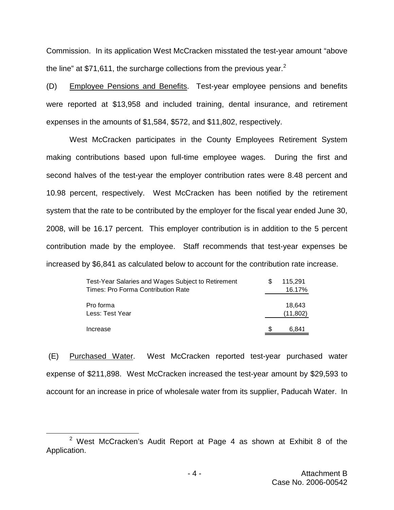Commission. In its application West McCracken misstated the test-year amount "above the line" at \$71,611, the surcharge collections from the previous year. $2$ 

(D) Employee Pensions and Benefits. Test-year employee pensions and benefits were reported at \$13,958 and included training, dental insurance, and retirement expenses in the amounts of \$1,584, \$572, and \$11,802, respectively.

West McCracken participates in the County Employees Retirement System making contributions based upon full-time employee wages. During the first and second halves of the test-year the employer contribution rates were 8.48 percent and 10.98 percent, respectively. West McCracken has been notified by the retirement system that the rate to be contributed by the employer for the fiscal year ended June 30, 2008, will be 16.17 percent. This employer contribution is in addition to the 5 percent contribution made by the employee. Staff recommends that test-year expenses be increased by \$6,841 as calculated below to account for the contribution rate increase.

| Test-Year Salaries and Wages Subject to Retirement<br>Times: Pro Forma Contribution Rate | S | 115.291<br>16.17%   |
|------------------------------------------------------------------------------------------|---|---------------------|
| Pro forma<br>Less: Test Year                                                             |   | 18.643<br>(11, 802) |
| Increase                                                                                 |   | 6.841               |

(E) Purchased Water. West McCracken reported test-year purchased water expense of \$211,898. West McCracken increased the test-year amount by \$29,593 to account for an increase in price of wholesale water from its supplier, Paducah Water. In

<sup>2</sup> West McCracken's Audit Report at Page 4 as shown at Exhibit 8 of the Application.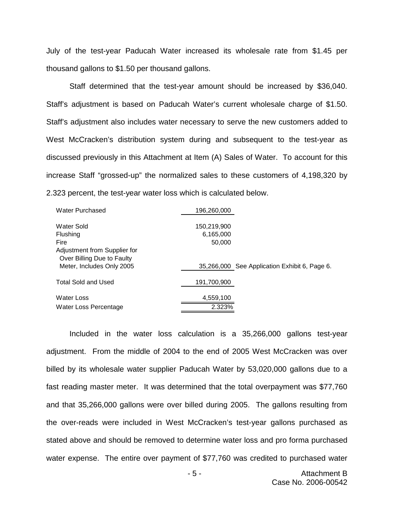July of the test-year Paducah Water increased its wholesale rate from \$1.45 per thousand gallons to \$1.50 per thousand gallons.

Staff determined that the test-year amount should be increased by \$36,040. Staff's adjustment is based on Paducah Water's current wholesale charge of \$1.50. Staff's adjustment also includes water necessary to serve the new customers added to West McCracken's distribution system during and subsequent to the test-year as discussed previously in this Attachment at Item (A) Sales of Water. To account for this increase Staff "grossed-up" the normalized sales to these customers of 4,198,320 by 2.323 percent, the test-year water loss which is calculated below.

| Water Purchased                                                                         | 196,260,000                        |                                               |
|-----------------------------------------------------------------------------------------|------------------------------------|-----------------------------------------------|
| Water Sold<br>Flushing<br>Fire                                                          | 150,219,900<br>6,165,000<br>50,000 |                                               |
| Adjustment from Supplier for<br>Over Billing Due to Faulty<br>Meter, Includes Only 2005 |                                    | 35,266,000 See Application Exhibit 6, Page 6. |
| <b>Total Sold and Used</b>                                                              | 191,700,900                        |                                               |
| Water Loss<br>Water Loss Percentage                                                     | 4,559,100<br>2.323%                |                                               |

Included in the water loss calculation is a 35,266,000 gallons test-year adjustment. From the middle of 2004 to the end of 2005 West McCracken was over billed by its wholesale water supplier Paducah Water by 53,020,000 gallons due to a fast reading master meter. It was determined that the total overpayment was \$77,760 and that 35,266,000 gallons were over billed during 2005. The gallons resulting from the over-reads were included in West McCracken's test-year gallons purchased as stated above and should be removed to determine water loss and pro forma purchased water expense. The entire over payment of \$77,760 was credited to purchased water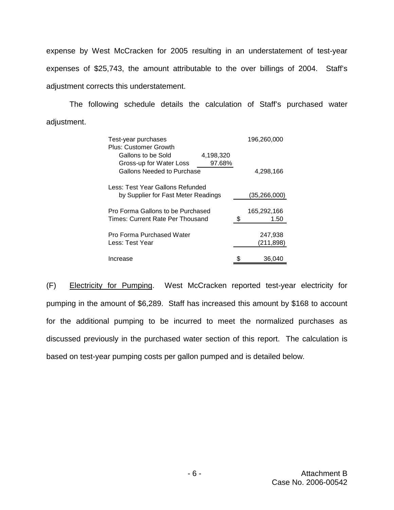expense by West McCracken for 2005 resulting in an understatement of test-year expenses of \$25,743, the amount attributable to the over billings of 2004. Staff's adjustment corrects this understatement.

The following schedule details the calculation of Staff's purchased water adjustment.

| Test-year purchases                 |   | 196,260,000  |
|-------------------------------------|---|--------------|
| <b>Plus: Customer Growth</b>        |   |              |
| Gallons to be Sold<br>4,198,320     |   |              |
| 97.68%<br>Gross-up for Water Loss   |   |              |
| Gallons Needed to Purchase          |   | 4,298,166    |
|                                     |   |              |
| Less: Test Year Gallons Refunded    |   |              |
| by Supplier for Fast Meter Readings |   | (35,266,000) |
|                                     |   |              |
| Pro Forma Gallons to be Purchased   |   | 165,292,166  |
| Times: Current Rate Per Thousand    | S | 1.50         |
|                                     |   |              |
| Pro Forma Purchased Water           |   | 247,938      |
| Less: Test Year                     |   | (211,898)    |
|                                     |   |              |
| Increase                            |   | 36,040       |

(F) Electricity for Pumping. West McCracken reported test-year electricity for pumping in the amount of \$6,289. Staff has increased this amount by \$168 to account for the additional pumping to be incurred to meet the normalized purchases as discussed previously in the purchased water section of this report. The calculation is based on test-year pumping costs per gallon pumped and is detailed below.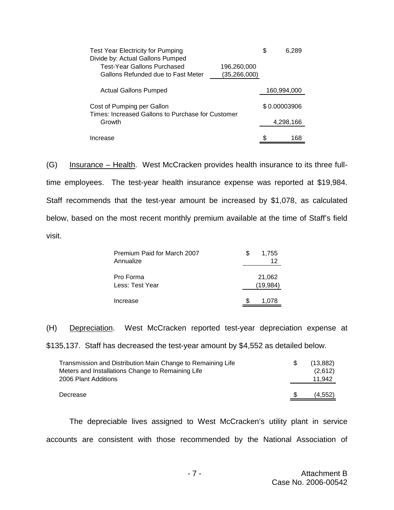| Test Year Electricity for Pumping<br>Divide by: Actual Gallons Pumped           |                | \$<br>6,289  |
|---------------------------------------------------------------------------------|----------------|--------------|
| <b>Test-Year Gallons Purchased</b>                                              | 196,260,000    |              |
| Gallons Refunded due to Fast Meter                                              | (35, 266, 000) |              |
| <b>Actual Gallons Pumped</b>                                                    |                | 160,994,000  |
| Cost of Pumping per Gallon<br>Times: Increased Gallons to Purchase for Customer |                | \$0.00003906 |
| Growth                                                                          |                | 4,298,166    |
| Increase                                                                        |                | 168          |

(G) Insurance – Health. West McCracken provides health insurance to its three fulltime employees. The test-year health insurance expense was reported at \$19,984. Staff recommends that the test-year amount be increased by \$1,078, as calculated below, based on the most recent monthly premium available at the time of Staff's field visit.

| <b>Premium Paid for March 2007</b><br>Annualize | S | 1,755<br>12         |
|-------------------------------------------------|---|---------------------|
| Pro Forma<br>Less: Test Year                    |   | 21,062<br>(19, 984) |
| Increase                                        |   | 1.078               |

(H) Depreciation. West McCracken reported test-year depreciation expense at

\$135,137. Staff has decreased the test-year amount by \$4,552 as detailed below.

| Transmission and Distribution Main Change to Remaining Life<br>Meters and Installations Change to Remaining Life<br>2006 Plant Additions | (13, 882)<br>(2,612)<br>11.942 |
|------------------------------------------------------------------------------------------------------------------------------------------|--------------------------------|
| Decrease                                                                                                                                 | (4.552)                        |

The depreciable lives assigned to West McCracken's utility plant in service accounts are consistent with those recommended by the National Association of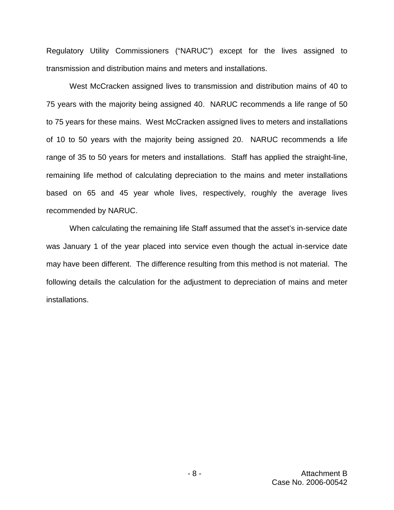Regulatory Utility Commissioners ("NARUC") except for the lives assigned to transmission and distribution mains and meters and installations.

West McCracken assigned lives to transmission and distribution mains of 40 to 75 years with the majority being assigned 40. NARUC recommends a life range of 50 to 75 years for these mains. West McCracken assigned lives to meters and installations of 10 to 50 years with the majority being assigned 20. NARUC recommends a life range of 35 to 50 years for meters and installations. Staff has applied the straight-line, remaining life method of calculating depreciation to the mains and meter installations based on 65 and 45 year whole lives, respectively, roughly the average lives recommended by NARUC.

When calculating the remaining life Staff assumed that the asset's in-service date was January 1 of the year placed into service even though the actual in-service date may have been different. The difference resulting from this method is not material. The following details the calculation for the adjustment to depreciation of mains and meter installations.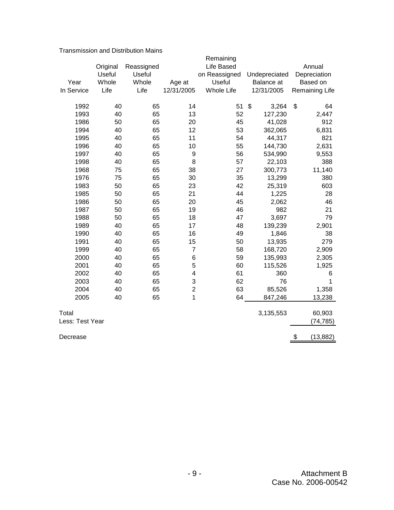|                 |               |               |                | Remaining         |               |                       |
|-----------------|---------------|---------------|----------------|-------------------|---------------|-----------------------|
|                 | Original      | Reassigned    |                | Life Based        |               | Annual                |
|                 | <b>Useful</b> | <b>Useful</b> |                | on Reassigned     | Undepreciated | Depreciation          |
| Year            | Whole         | Whole         | Age at         | <b>Useful</b>     | Balance at    | Based on              |
| In Service      | Life          | Life          | 12/31/2005     | <b>Whole Life</b> | 12/31/2005    | <b>Remaining Life</b> |
| 1992            | 40            | 65            | 14             | 51                | \$<br>3,264   | \$<br>64              |
| 1993            | 40            | 65            | 13             | 52                | 127,230       | 2,447                 |
| 1986            | 50            | 65            | 20             | 45                | 41,028        | 912                   |
| 1994            | 40            | 65            | 12             | 53                | 362,065       | 6,831                 |
| 1995            | 40            | 65            | 11             | 54                | 44,317        | 821                   |
| 1996            | 40            | 65            | 10             | 55                | 144,730       | 2,631                 |
| 1997            | 40            | 65            | 9              | 56                | 534,990       | 9,553                 |
| 1998            | 40            | 65            | 8              | 57                | 22,103        | 388                   |
| 1968            | 75            | 65            | 38             | 27                | 300,773       | 11,140                |
| 1976            | 75            | 65            | 30             | 35                | 13,299        | 380                   |
| 1983            | 50            | 65            | 23             | 42                | 25,319        | 603                   |
| 1985            | 50            | 65            | 21             | 44                | 1,225         | 28                    |
| 1986            | 50            | 65            | 20             | 45                | 2,062         | 46                    |
| 1987            | 50            | 65            | 19             | 46                | 982           | 21                    |
| 1988            | 50            | 65            | 18             | 47                | 3,697         | 79                    |
| 1989            | 40            | 65            | 17             | 48                | 139,239       | 2,901                 |
| 1990            | 40            | 65            | 16             | 49                | 1,846         | 38                    |
| 1991            | 40            | 65            | 15             | 50                | 13,935        | 279                   |
| 1999            | 40            | 65            | $\overline{7}$ | 58                | 168,720       | 2,909                 |
| 2000            | 40            | 65            | 6              | 59                | 135,993       | 2,305                 |
| 2001            | 40            | 65            | 5              | 60                | 115,526       | 1,925                 |
| 2002            | 40            | 65            | 4              | 61                | 360           | 6                     |
| 2003            | 40            | 65            | 3              | 62                | 76            | 1                     |
| 2004            | 40            | 65            | $\overline{2}$ | 63                | 85,526        | 1,358                 |
| 2005            | 40            | 65            | 1              | 64                | 847,246       | 13,238                |
| Total           |               |               |                |                   | 3,135,553     | 60,903                |
| Less: Test Year |               |               |                |                   |               | (74, 785)             |
| Decrease        |               |               |                |                   |               | \$<br>(13, 882)       |
|                 |               |               |                |                   |               |                       |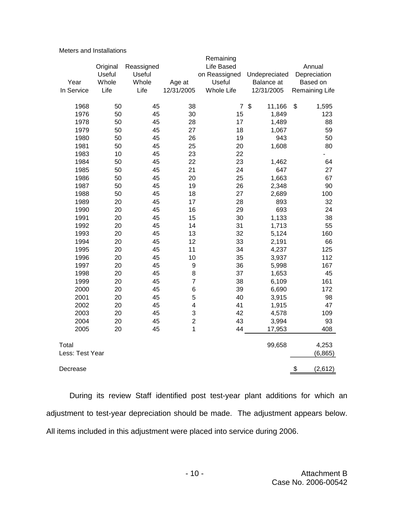| Year<br>In Service       | Original<br>Useful<br>Whole<br>Life | Reassigned<br>Useful<br>Whole<br>Life | Age at<br>12/31/2005    | Remaining<br>Life Based<br>on Reassigned<br>Useful<br><b>Whole Life</b> | Undepreciated<br>Balance at<br>12/31/2005 | Annual<br>Depreciation<br>Based on<br><b>Remaining Life</b> |
|--------------------------|-------------------------------------|---------------------------------------|-------------------------|-------------------------------------------------------------------------|-------------------------------------------|-------------------------------------------------------------|
| 1968                     | 50                                  | 45                                    | 38                      | $\overline{7}$                                                          | $\boldsymbol{\mathsf{S}}$<br>11,166       | \$<br>1,595                                                 |
| 1976                     | 50                                  | 45                                    | 30                      | 15                                                                      | 1,849                                     | 123                                                         |
| 1978                     | 50                                  | 45                                    | 28                      | 17                                                                      | 1,489                                     | 88                                                          |
| 1979                     | 50                                  | 45                                    | 27                      | 18                                                                      | 1,067                                     | 59                                                          |
| 1980                     | 50                                  | 45                                    | 26                      | 19                                                                      | 943                                       | 50                                                          |
| 1981                     | 50                                  | 45                                    | 25                      | 20                                                                      | 1,608                                     | 80                                                          |
| 1983                     | 10                                  | 45                                    | 23                      | 22                                                                      |                                           |                                                             |
| 1984                     | 50                                  | 45                                    | 22                      | 23                                                                      | 1,462                                     | 64                                                          |
| 1985                     | 50                                  | 45                                    | 21                      | 24                                                                      | 647                                       | 27                                                          |
| 1986                     | 50                                  | 45                                    | 20                      | 25                                                                      | 1,663                                     | 67                                                          |
| 1987                     | 50                                  | 45                                    | 19                      | 26                                                                      | 2,348                                     | 90                                                          |
| 1988                     | 50                                  | 45                                    | 18                      | 27                                                                      | 2,689                                     | 100                                                         |
| 1989                     | 20                                  | 45                                    | 17                      | 28                                                                      | 893                                       | 32                                                          |
| 1990                     | 20                                  | 45                                    | 16                      | 29                                                                      | 693                                       | 24                                                          |
| 1991                     | 20                                  | 45                                    | 15                      | 30                                                                      | 1,133                                     | 38                                                          |
| 1992                     | 20                                  | 45                                    | 14                      | 31                                                                      | 1,713                                     | 55                                                          |
| 1993                     | 20                                  | 45                                    | 13                      | 32                                                                      | 5,124                                     | 160                                                         |
| 1994                     | 20                                  | 45                                    | 12                      | 33                                                                      | 2,191                                     | 66                                                          |
| 1995                     | 20                                  | 45                                    | 11                      | 34                                                                      | 4,237                                     | 125                                                         |
| 1996                     | 20                                  | 45                                    | 10                      | 35                                                                      | 3,937                                     | 112                                                         |
| 1997                     | 20                                  | 45                                    | 9                       | 36                                                                      | 5,998                                     | 167                                                         |
| 1998                     | 20                                  | 45                                    | 8                       | 37                                                                      | 1,653                                     | 45                                                          |
| 1999                     | 20                                  | 45                                    | $\overline{7}$          | 38                                                                      | 6,109                                     | 161                                                         |
| 2000                     | 20                                  | 45                                    | 6                       | 39                                                                      | 6,690                                     | 172                                                         |
| 2001                     | 20                                  | 45                                    | 5                       | 40                                                                      | 3,915                                     | 98                                                          |
| 2002                     | 20                                  | 45                                    | 4                       | 41                                                                      | 1,915                                     | 47                                                          |
| 2003                     | 20                                  | 45                                    | 3                       | 42                                                                      | 4,578                                     | 109                                                         |
| 2004                     | 20                                  | 45                                    | $\overline{\mathbf{c}}$ | 43                                                                      | 3,994                                     | 93                                                          |
| 2005                     | 20                                  | 45                                    | 1                       | 44                                                                      | 17,953                                    | 408                                                         |
|                          |                                     |                                       |                         |                                                                         |                                           |                                                             |
| Total<br>Less: Test Year |                                     |                                       |                         |                                                                         | 99,658                                    | 4,253                                                       |
|                          |                                     |                                       |                         |                                                                         |                                           | (6, 865)                                                    |
| Decrease                 |                                     |                                       |                         |                                                                         |                                           | \$<br>(2,612)                                               |

Meters and Installations

During its review Staff identified post test-year plant additions for which an adjustment to test-year depreciation should be made. The adjustment appears below. All items included in this adjustment were placed into service during 2006.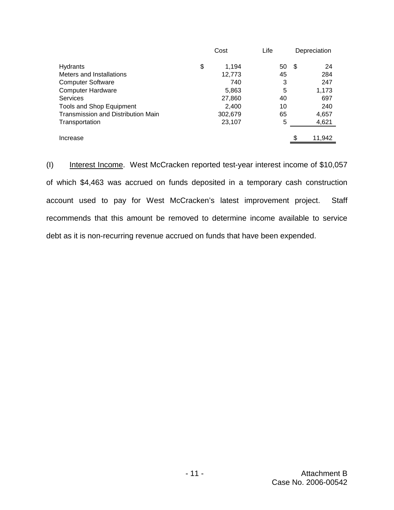|                                    | Cost        | Life | Depreciation |
|------------------------------------|-------------|------|--------------|
| Hydrants                           | \$<br>1,194 | 50   | \$<br>24     |
| Meters and Installations           | 12,773      | 45   | 284          |
| <b>Computer Software</b>           | 740         | 3    | 247          |
| <b>Computer Hardware</b>           | 5,863       | 5    | 1,173        |
| <b>Services</b>                    | 27,860      | 40   | 697          |
| <b>Tools and Shop Equipment</b>    | 2,400       | 10   | 240          |
| Transmission and Distribution Main | 302,679     | 65   | 4,657        |
| Transportation                     | 23,107      | 5    | 4,621        |
| Increase                           |             |      | 11,942       |

(I) Interest Income. West McCracken reported test-year interest income of \$10,057 of which \$4,463 was accrued on funds deposited in a temporary cash construction account used to pay for West McCracken's latest improvement project. Staff recommends that this amount be removed to determine income available to service debt as it is non-recurring revenue accrued on funds that have been expended.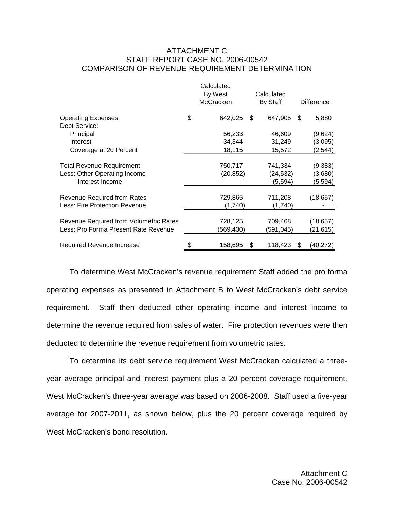### ATTACHMENT C STAFF REPORT CASE NO. 2006-00542 COMPARISON OF REVENUE REQUIREMENT DETERMINATION

|                                                                                       | Calculated<br>By West<br>McCracken | Calculated<br><b>By Staff</b>    |    | <b>Difference</b>             |
|---------------------------------------------------------------------------------------|------------------------------------|----------------------------------|----|-------------------------------|
| <b>Operating Expenses</b><br>Debt Service:                                            | \$<br>642,025                      | \$<br>647,905                    | \$ | 5,880                         |
| Principal                                                                             | 56,233                             | 46,609                           |    | (9,624)                       |
| Interest                                                                              | 34,344                             | 31,249                           |    | (3,095)                       |
| Coverage at 20 Percent                                                                | 18,115                             | 15,572                           |    | (2, 544)                      |
| <b>Total Revenue Requirement</b><br>Less: Other Operating Income<br>Interest Income   | 750,717<br>(20, 852)               | 741,334<br>(24, 532)<br>(5, 594) |    | (9,383)<br>(3,680)<br>(5,594) |
| <b>Revenue Required from Rates</b><br><b>Less: Fire Protection Revenue</b>            | 729,865<br>(1,740)                 | 711,208<br>(1,740)               |    | (18, 657)                     |
| <b>Revenue Required from Volumetric Rates</b><br>Less: Pro Forma Present Rate Revenue | 728,125<br>(569,430)               | 709,468<br>(591,045)             |    | (18, 657)<br>(21, 615)        |
| Required Revenue Increase                                                             | 158,695                            | \$<br>118,423                    | æ. | (40,272)                      |

To determine West McCracken's revenue requirement Staff added the pro forma operating expenses as presented in Attachment B to West McCracken's debt service requirement. Staff then deducted other operating income and interest income to determine the revenue required from sales of water. Fire protection revenues were then deducted to determine the revenue requirement from volumetric rates.

To determine its debt service requirement West McCracken calculated a threeyear average principal and interest payment plus a 20 percent coverage requirement. West McCracken's three-year average was based on 2006-2008. Staff used a five-year average for 2007-2011, as shown below, plus the 20 percent coverage required by West McCracken's bond resolution.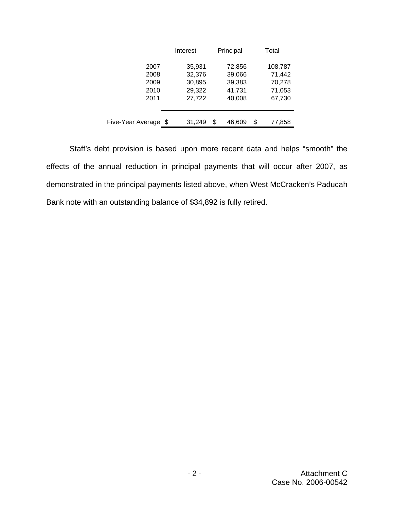|                                      | Interest                                       | Principal                                      | Total                                           |
|--------------------------------------|------------------------------------------------|------------------------------------------------|-------------------------------------------------|
| 2007<br>2008<br>2009<br>2010<br>2011 | 35,931<br>32,376<br>30,895<br>29,322<br>27,722 | 72,856<br>39,066<br>39,383<br>41,731<br>40,008 | 108,787<br>71,442<br>70,278<br>71,053<br>67,730 |
| Five-Year Average \$                 | 31,249                                         | \$<br>46,609                                   | S<br>77,858                                     |

Staff's debt provision is based upon more recent data and helps "smooth" the effects of the annual reduction in principal payments that will occur after 2007, as demonstrated in the principal payments listed above, when West McCracken's Paducah Bank note with an outstanding balance of \$34,892 is fully retired.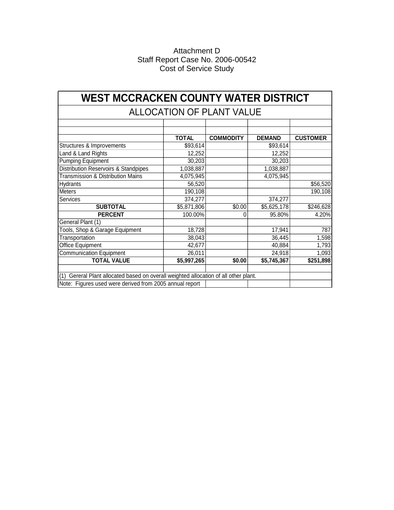### Attachment D Staff Report Case No. 2006-00542 Cost of Service Study

| <b>WEST MCCRACKEN COUNTY WATER DISTRICT</b>                                             |              |                  |               |                 |  |  |
|-----------------------------------------------------------------------------------------|--------------|------------------|---------------|-----------------|--|--|
| <b>ALLOCATION OF PLANT VALUE</b>                                                        |              |                  |               |                 |  |  |
|                                                                                         |              |                  |               |                 |  |  |
|                                                                                         | <b>TOTAL</b> | <b>COMMODITY</b> | <b>DEMAND</b> | <b>CUSTOMER</b> |  |  |
| Structures & Improvements                                                               | \$93,614     |                  | \$93,614      |                 |  |  |
| Land & Land Rights                                                                      | 12,252       |                  | 12,252        |                 |  |  |
| <b>Pumping Equipment</b>                                                                | 30,203       |                  | 30,203        |                 |  |  |
| Distribution Reservoirs & Standpipes                                                    | 1,038,887    |                  | 1,038,887     |                 |  |  |
| <b>Transmission &amp; Distribution Mains</b>                                            | 4,075,945    |                  | 4,075,945     |                 |  |  |
| <b>Hydrants</b>                                                                         | 56,520       |                  |               | \$56,520        |  |  |
| <b>Meters</b>                                                                           | 190,108      |                  |               | 190,108         |  |  |
| Services                                                                                | 374,277      |                  | 374,277       |                 |  |  |
| <b>SUBTOTAL</b>                                                                         | \$5,871,806  | \$0.00           | \$5,625,178   | \$246,628       |  |  |
| <b>PERCENT</b>                                                                          | 100.00%      | 0                | 95.80%        | 4.20%           |  |  |
| General Plant (1)                                                                       |              |                  |               |                 |  |  |
| Tools, Shop & Garage Equipment                                                          | 18,728       |                  | 17,941        | 787             |  |  |
| Transportation                                                                          | 38,043       |                  | 36,445        | 1,598           |  |  |
| Office Equipment                                                                        | 42,677       |                  | 40,884        | 1,793           |  |  |
| <b>Communication Equipment</b>                                                          | 26,011       |                  | 24,918        | 1,093           |  |  |
| <b>TOTAL VALUE</b>                                                                      | \$5,997,265  | \$0.00           | \$5,745,367   | \$251,898       |  |  |
| Gereral Plant allocated based on overall weighted allocation of all other plant.<br>(1) |              |                  |               |                 |  |  |
| Note: Figures used were derived from 2005 annual report                                 |              |                  |               |                 |  |  |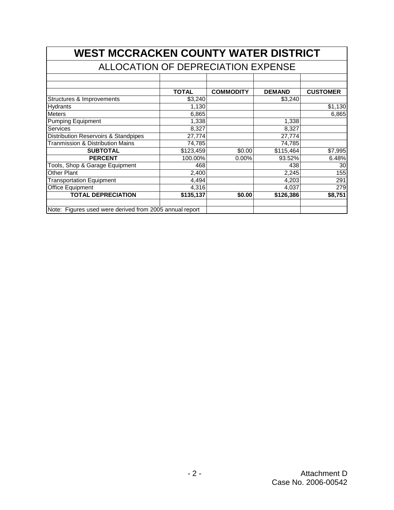| <b>WEST MCCRACKEN COUNTY WATER DISTRICT</b>             |              |                  |               |                 |  |
|---------------------------------------------------------|--------------|------------------|---------------|-----------------|--|
| ALLOCATION OF DEPRECIATION EXPENSE                      |              |                  |               |                 |  |
|                                                         |              |                  |               |                 |  |
|                                                         | <b>TOTAL</b> | <b>COMMODITY</b> | <b>DEMAND</b> | <b>CUSTOMER</b> |  |
| Structures & Improvements                               | \$3,240      |                  | \$3,240       |                 |  |
| <b>Hydrants</b>                                         | 1,130        |                  |               | \$1,130         |  |
| Meters                                                  | 6,865        |                  |               | 6,865           |  |
| <b>Pumping Equipment</b>                                | 1,338        |                  | 1,338         |                 |  |
| <b>Services</b>                                         | 8,327        |                  | 8,327         |                 |  |
| Distribution Reservoirs & Standpipes                    | 27,774       |                  | 27,774        |                 |  |
| <b>Tranmission &amp; Distribution Mains</b>             | 74,785       |                  | 74,785        |                 |  |
| <b>SUBTOTAL</b>                                         | \$123,459    | \$0.00           | \$115,464     | \$7,995         |  |
| <b>PERCENT</b>                                          | 100.00%      | $0.00\%$         | 93.52%        | 6.48%           |  |
| Tools, Shop & Garage Equipment                          | 468          |                  | 438           | 30              |  |
| Other Plant                                             | 2,400        |                  | 2,245         | 155             |  |
| <b>Transportation Equipment</b>                         | 4,494        |                  | 4,203         | 291             |  |
| Office Equipment                                        | 4,316        |                  | 4,037         | 279             |  |
| <b>TOTAL DEPRECIATION</b>                               | \$135,137    | \$0.00           | \$126,386     | \$8,751         |  |
| Note: Figures used were derived from 2005 annual report |              |                  |               |                 |  |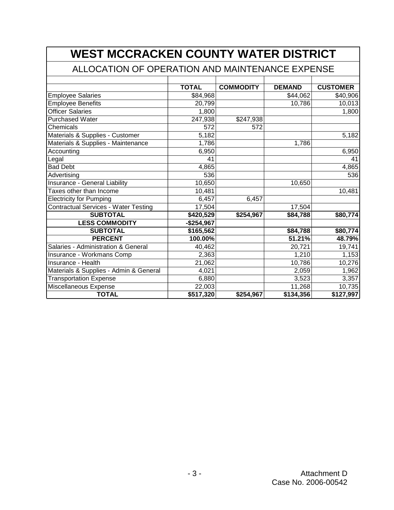| <b>WEST MCCRACKEN COUNTY WATER DISTRICT</b>     |              |                  |               |                 |  |  |
|-------------------------------------------------|--------------|------------------|---------------|-----------------|--|--|
| ALLOCATION OF OPERATION AND MAINTENANCE EXPENSE |              |                  |               |                 |  |  |
|                                                 |              |                  |               |                 |  |  |
|                                                 | <b>TOTAL</b> | <b>COMMODITY</b> | <b>DEMAND</b> | <b>CUSTOMER</b> |  |  |
| <b>Employee Salaries</b>                        | \$84,968     |                  | \$44,062      | \$40,906        |  |  |
| <b>Employee Benefits</b>                        | 20,799       |                  | 10,786        | 10,013          |  |  |
| <b>Officer Salaries</b>                         | 1,800        |                  |               | 1,800           |  |  |
| <b>Purchased Water</b>                          | 247,938      | \$247,938        |               |                 |  |  |
| Chemicals                                       | 572          | 572              |               |                 |  |  |
| Materials & Supplies - Customer                 | 5,182        |                  |               | 5,182           |  |  |
| Materials & Supplies - Maintenance              | 1,786        |                  | 1,786         |                 |  |  |
| Accounting                                      | 6,950        |                  |               | 6,950           |  |  |
| Legal                                           | 41           |                  |               | 41              |  |  |
| <b>Bad Debt</b>                                 | 4,865        |                  |               | 4,865           |  |  |
| Advertising                                     | 536          |                  |               | 536             |  |  |
| Insurance - General Liability                   | 10,650       |                  | 10,650        |                 |  |  |
| Taxes other than Income                         | 10,481       |                  |               | 10,481          |  |  |
| <b>Electricity for Pumping</b>                  | 6,457        | 6,457            |               |                 |  |  |
| Contractual Services - Water Testing            | 17,504       |                  | 17,504        |                 |  |  |
| <b>SUBTOTAL</b>                                 | \$420,529    | \$254,967        | \$84,788      | \$80,774        |  |  |
| <b>LESS COMMODITY</b>                           | $-$254,967$  |                  |               |                 |  |  |
| <b>SUBTOTAL</b>                                 | \$165,562    |                  | \$84,788      | \$80,774        |  |  |
| <b>PERCENT</b>                                  | 100.00%      |                  | 51.21%        | 48.79%          |  |  |
| Salaries - Administration & General             | 40,462       |                  | 20,721        | 19,741          |  |  |
| Insurance - Workmans Comp                       | 2,363        |                  | 1,210         | 1,153           |  |  |
| Insurance - Health                              | 21,062       |                  | 10,786        | 10,276          |  |  |
| Materials & Supplies - Admin & General          | 4,021        |                  | 2,059         | 1,962           |  |  |
| <b>Transportation Expense</b>                   | 6,880        |                  | 3,523         | 3,357           |  |  |
| Miscellaneous Expense                           | 22,003       |                  | 11,268        | 10,735          |  |  |
| <b>TOTAL</b>                                    | \$517,320    | \$254,967        | \$134,356     | \$127,997       |  |  |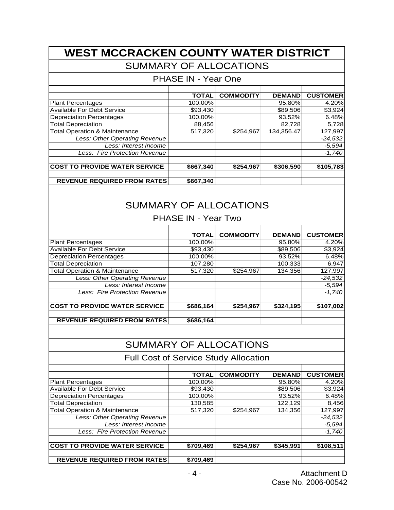# **WEST MCCRACKEN COUNTY WATER DISTRICT**

# SUMMARY OF ALLOCATIONS

| <b>PHASE IN - Year One</b>               |              |                  |               |                 |  |  |  |
|------------------------------------------|--------------|------------------|---------------|-----------------|--|--|--|
|                                          |              |                  |               |                 |  |  |  |
|                                          | <b>TOTAL</b> | <b>COMMODITY</b> | <b>DEMAND</b> | <b>CUSTOMER</b> |  |  |  |
| Plant Percentages                        | 100.00%      |                  | 95.80%        | 4.20%           |  |  |  |
| <b>Available For Debt Service</b>        | \$93,430     |                  | \$89,506      | \$3,924         |  |  |  |
| <b>Depreciation Percentages</b>          | 100.00%      |                  | 93.52%        | 6.48%           |  |  |  |
| <b>Total Depreciation</b>                | 88,456       |                  | 82,728        | 5,728           |  |  |  |
| <b>Total Operation &amp; Maintenance</b> | 517.320      | \$254.967        | 134,356.47    | 127,997         |  |  |  |
| Less: Other Operating Revenue            |              |                  |               | $-24,532$       |  |  |  |
| Less: Interest Income                    |              |                  |               | $-5,594$        |  |  |  |
| Less: Fire Protection Revenue            |              |                  |               | $-1,740$        |  |  |  |
|                                          |              |                  |               |                 |  |  |  |
| <b>COST TO PROVIDE WATER SERVICE</b>     | \$667,340    | \$254.967        | \$306,590     | \$105,783       |  |  |  |
| <b>REVENUE REQUIRED FROM RATES</b>       | \$667,340    |                  |               |                 |  |  |  |

# SUMMARY OF ALLOCATIONS

## PHASE IN - Year Two

|                                          | <b>TOTAL</b> | <b>COMMODITY</b> | <b>DEMAND</b> | <b>CUSTOMER</b> |
|------------------------------------------|--------------|------------------|---------------|-----------------|
| <b>Plant Percentages</b>                 | 100.00%      |                  | 95.80%        | 4.20%           |
| <b>Available For Debt Service</b>        | \$93,430     |                  | \$89,506      | \$3,924         |
| Depreciation Percentages                 | 100.00%      |                  | 93.52%        | 6.48%           |
| <b>Total Depreciation</b>                | 107,280      |                  | 100,333       | 6,947           |
| <b>Total Operation &amp; Maintenance</b> | 517,320      | \$254,967        | 134,356       | 127,997         |
| Less: Other Operating Revenue            |              |                  |               | $-24.532$       |
| Less: Interest Income                    |              |                  |               | $-5.594$        |
| Less: Fire Protection Revenue            |              |                  |               | $-1,740$        |
|                                          |              |                  |               |                 |
| <b>COST TO PROVIDE WATER SERVICE</b>     | \$686,164    | \$254,967        | \$324,195     | \$107,002       |
|                                          |              |                  |               |                 |
| <b>REVENUE REQUIRED FROM RATES</b>       | \$686,164    |                  |               |                 |

# SUMMARY OF ALLOCATIONS

Full Cost of Service Study Allocation

|                                          | <b>TOTAL</b> | <b>COMMODITY</b> | <b>DEMAND</b> | <b>CUSTOMER</b> |
|------------------------------------------|--------------|------------------|---------------|-----------------|
| <b>Plant Percentages</b>                 | 100.00%      |                  | 95.80%        | 4.20%           |
| <b>Available For Debt Service</b>        | \$93,430     |                  | \$89,506      | \$3,924         |
| <b>Depreciation Percentages</b>          | 100.00%      |                  | 93.52%        | 6.48%           |
| <b>Total Depreciation</b>                | 130,585      |                  | 122,129       | 8,456           |
| <b>Total Operation &amp; Maintenance</b> | 517,320      | \$254,967        | 134,356       | 127,997         |
| Less: Other Operating Revenue            |              |                  |               | $-24,532$       |
| Less: Interest Income                    |              |                  |               | $-5,594$        |
| Less: Fire Protection Revenue            |              |                  |               | $-1,740$        |
| <b>COST TO PROVIDE WATER SERVICE</b>     | \$709,469    | \$254,967        | \$345,991     | \$108,511       |
| <b>REVENUE REQUIRED FROM RATES</b>       | \$709,469    |                  |               |                 |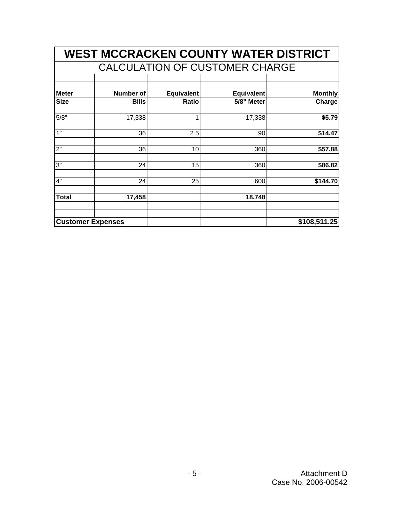| <b>WEST MCCRACKEN COUNTY WATER DISTRICT</b> |                                       |                   |                   |                |  |  |  |  |  |  |
|---------------------------------------------|---------------------------------------|-------------------|-------------------|----------------|--|--|--|--|--|--|
|                                             | <b>CALCULATION OF CUSTOMER CHARGE</b> |                   |                   |                |  |  |  |  |  |  |
|                                             |                                       |                   |                   |                |  |  |  |  |  |  |
| <b>Meter</b>                                | <b>Number of</b>                      | <b>Equivalent</b> | <b>Equivalent</b> | <b>Monthly</b> |  |  |  |  |  |  |
| <b>Size</b>                                 | <b>Bills</b>                          | <b>Ratio</b>      | 5/8" Meter        | Charge         |  |  |  |  |  |  |
| 5/8"                                        | 17,338                                |                   | 17,338            | \$5.79         |  |  |  |  |  |  |
| 1"                                          | 36                                    | 2.5               | 90                | \$14.47        |  |  |  |  |  |  |
| 2"                                          | 36                                    | 10                | 360               | \$57.88        |  |  |  |  |  |  |
| $3^{\circ}$                                 | 24                                    | 15                | 360               | \$86.82        |  |  |  |  |  |  |
| 4"                                          | 24                                    | 25                | 600               | \$144.70       |  |  |  |  |  |  |
| <b>Total</b>                                | 17,458                                |                   | 18,748            |                |  |  |  |  |  |  |
| <b>Customer Expenses</b>                    |                                       |                   |                   | \$108,511.25   |  |  |  |  |  |  |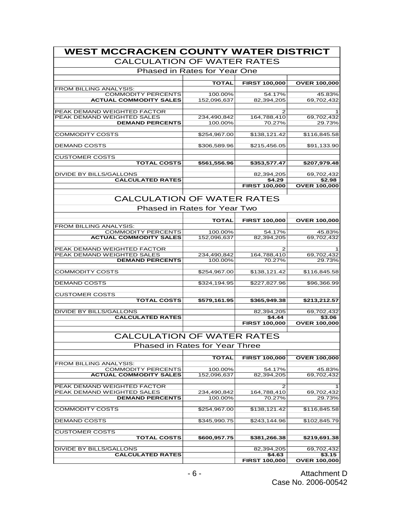| <b>WEST MCCRACKEN COUNTY WATER DISTRICT</b>                |                                |                                |                               |
|------------------------------------------------------------|--------------------------------|--------------------------------|-------------------------------|
| <b>CALCULATION OF WATER RATES</b>                          |                                |                                |                               |
|                                                            | Phased in Rates for Year One   |                                |                               |
|                                                            | <b>TOTAL</b>                   | <b>FIRST 100,000</b>           | <b>OVER 100,000</b>           |
| <b>FROM BILLING ANALYSIS:</b>                              |                                |                                |                               |
| <b>COMMODITY PERCENTS</b><br><b>ACTUAL COMMODITY SALES</b> | 100.00%<br>152,096,637         | 54.17%<br>82.394.205           | 45.83%<br>69.702.432          |
|                                                            |                                |                                |                               |
| PEAK DEMAND WEIGHTED FACTOR                                |                                |                                |                               |
| PEAK DEMAND WEIGHTED SALES                                 | 234,490,842                    | 164,788,410                    | 69,702,432                    |
| <b>DEMAND PERCENTS</b>                                     | 100.00%                        | 70.27%                         | 29.73%                        |
| <b>COMMODITY COSTS</b>                                     | \$254.967.00                   | \$138,121.42                   | \$116.845.58                  |
| <b>DEMAND COSTS</b>                                        | \$306,589.96                   | \$215,456.05                   | \$91,133.90                   |
| <b>CUSTOMER COSTS</b>                                      |                                |                                |                               |
| <b>TOTAL COSTS</b>                                         | \$561,556.96                   | \$353,577.47                   | \$207,979.48                  |
|                                                            |                                |                                |                               |
| <b>DIVIDE BY BILLS/GALLONS</b>                             |                                | 82,394,205                     | 69,702,432                    |
| <b>CALCULATED RATES</b>                                    |                                | \$4.29<br><b>FIRST 100,000</b> | \$2.98<br><b>OVER 100,000</b> |
| <b>CALCULATION OF WATER RATES</b>                          |                                |                                |                               |
|                                                            | Phased in Rates for Year Two   |                                |                               |
|                                                            |                                |                                |                               |
|                                                            | <b>TOTAL</b>                   | <b>FIRST 100,000</b>           | <b>OVER 100,000</b>           |
| <b>FROM BILLING ANALYSIS:</b><br><b>COMMODITY PERCENTS</b> | 100.00%                        | 54.17%                         | 45.83%                        |
| <b>ACTUAL COMMODITY SALES</b>                              | 152,096,637                    | 82,394,205                     | 69,702,432                    |
|                                                            |                                |                                |                               |
| PEAK DEMAND WEIGHTED FACTOR<br>PEAK DEMAND WEIGHTED SALES  | 234,490,842                    | 2<br>164,788,410               | 69,702,432                    |
| <b>DEMAND PERCENTS</b>                                     | 100.00%                        | 70.27%                         | 29.73%                        |
|                                                            |                                |                                |                               |
| <b>COMMODITY COSTS</b>                                     | \$254,967.00                   | \$138,121.42                   | \$116,845.58                  |
| <b>DEMAND COSTS</b>                                        | \$324,194.95                   | \$227,827.96                   | \$96,366.99                   |
|                                                            |                                |                                |                               |
| CUSTOMER COSTS                                             |                                |                                |                               |
| <b>TOTAL COSTS</b>                                         | \$579,161.95                   | \$365,949.38                   | \$213.212.57                  |
| <b>DIVIDE BY BILLS/GALLONS</b>                             |                                | 82,394,205                     | 69,702,432                    |
| <b>CALCULATED RATES</b>                                    |                                | \$4.44                         | \$3.06                        |
|                                                            |                                | <b>FIRST 100,000</b>           | <b>OVER 100,000</b>           |
| <b>CALCULATION OF WATER RATES</b>                          |                                |                                |                               |
|                                                            | Phased in Rates for Year Three |                                |                               |
|                                                            | <b>TOTAL</b>                   | <b>FIRST 100,000</b>           | <b>OVER 100,000</b>           |
| <b>FROM BILLING ANALYSIS:</b>                              |                                |                                |                               |
| <b>COMMODITY PERCENTS</b>                                  | 100.00%                        | 54.17%                         | 45.83%                        |
| <b>ACTUAL COMMODITY SALES</b>                              | 152,096,637                    | 82.394.205                     | 69,702,432                    |
| PEAK DEMAND WEIGHTED FACTOR                                |                                | 2                              | 1                             |
| PEAK DEMAND WEIGHTED SALES                                 | 234,490,842                    | 164,788,410                    | 69,702,432                    |
| <b>DEMAND PERCENTS</b>                                     | 100.00%                        | 70.27%                         | 29.73%                        |
| <b>COMMODITY COSTS</b>                                     | \$254,967.00                   | \$138,121.42                   | \$116,845.58                  |
| <b>DEMAND COSTS</b>                                        | \$345,990.75                   | \$243,144.96                   | \$102,845.79                  |
|                                                            |                                |                                |                               |
| <b>CUSTOMER COSTS</b>                                      |                                |                                |                               |
| <b>TOTAL COSTS</b>                                         | \$600,957.75                   | \$381,266.38                   | \$219,691.38                  |
| <b>DIVIDE BY BILLS/GALLONS</b>                             |                                | 82,394,205                     | 69,702,432                    |
| <b>CALCULATED RATES</b>                                    |                                | \$4.63                         | \$3.15                        |
|                                                            |                                | <b>FIRST 100,000</b>           | <b>OVER 100,000</b>           |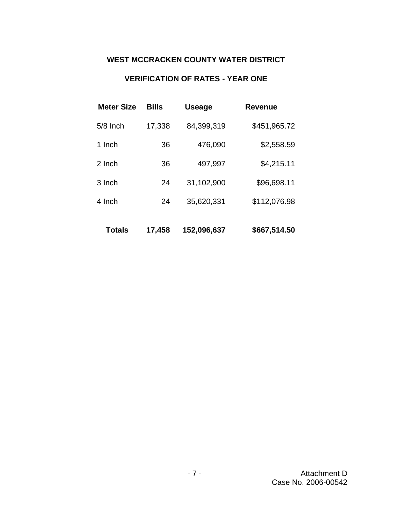# **WEST MCCRACKEN COUNTY WATER DISTRICT**

# **VERIFICATION OF RATES - YEAR ONE**

| <b>Bills</b> | <b>Useage</b> | <b>Revenue</b> |
|--------------|---------------|----------------|
| 17,338       | 84,399,319    | \$451,965.72   |
| 36           | 476,090       | \$2,558.59     |
| 36           | 497,997       | \$4,215.11     |
| 24           | 31,102,900    | \$96,698.11    |
| 24           | 35,620,331    | \$112,076.98   |
|              |               | \$667,514.50   |
|              | 17,458        | 152,096,637    |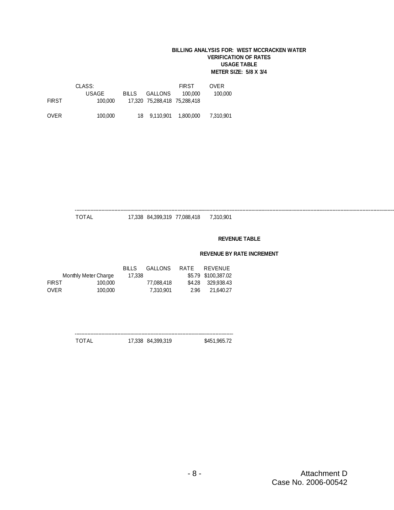#### **BILLING ANALYSIS FOR: WEST MCCRACKEN WATER VERIFICATION OF RATES USAGE TABLE METER SIZE: 5/8 X 3/4**

|              | CLASS:       |        |                              | <b>FIRST</b> | <b>OVER</b> |
|--------------|--------------|--------|------------------------------|--------------|-------------|
|              | <b>USAGE</b> | BILLS. | GALLONS                      | 100.000      | 100,000     |
| <b>FIRST</b> | 100.000      |        | 17.320 75.288.418 75.288.418 |              |             |
| <b>OVER</b>  | 100.000      |        | 18 9.110.901                 | 1.800.000    | 7.310.901   |

----------------------------------------------------------------------------------------------------------------------------------------------------------------------------------------------------------------- TOTAL 17,338 84,399,319 77,088,418 7,310,901

#### **REVENUE TABLE**

|              |                      | <b>BILLS</b> | GALLONS    | RATE | REVENUE             |
|--------------|----------------------|--------------|------------|------|---------------------|
|              | Monthly Meter Charge | 17.338       |            |      | \$5.79 \$100.387.02 |
| <b>FIRST</b> | 100.000              |              | 77.088.418 |      | \$4.28 329,938.43   |
| <b>OVER</b>  | 100,000              |              | 7.310.901  | 2.96 | 21.640.27           |

| TOTAL | 17,338 84,399,319 | \$451,965.72 |
|-------|-------------------|--------------|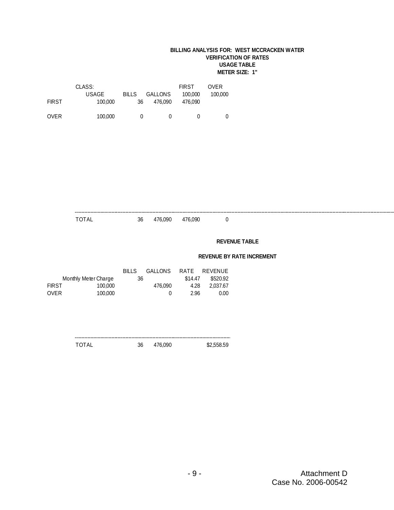### **BILLING ANALYSIS FOR: WEST MCCRACKEN WATER VERIFICATION OF RATES USAGE TABLE METER SIZE: 1"**

| <b>FIRST</b> | CLASS:<br>USAGE<br>100,000      | <b>BILLS</b><br>$36\,$ | <b>GALLONS</b><br>476,090 | <b>FIRST</b><br>100,000<br>476,090 | OVER<br>100,000      |                                  |
|--------------|---------------------------------|------------------------|---------------------------|------------------------------------|----------------------|----------------------------------|
| OVER         | 100,000                         | $\pmb{0}$              | $\pmb{0}$                 | $\pmb{0}$                          | $\pmb{0}$            |                                  |
|              |                                 |                        |                           |                                    |                      |                                  |
|              |                                 |                        |                           |                                    |                      |                                  |
|              |                                 |                        |                           |                                    |                      |                                  |
|              |                                 |                        |                           |                                    |                      |                                  |
|              |                                 |                        |                           |                                    |                      |                                  |
|              |                                 |                        |                           |                                    |                      |                                  |
|              |                                 |                        |                           |                                    |                      |                                  |
|              | <b>TOTAL</b>                    | 36                     | 476,090                   | 476,090                            | $\,0\,$              |                                  |
|              |                                 |                        |                           |                                    |                      | <b>REVENUE TABLE</b>             |
|              |                                 |                        |                           |                                    |                      | <b>REVENUE BY RATE INCREMENT</b> |
|              |                                 | <b>BILLS</b>           | <b>GALLONS</b>            | RATE                               | REVENUE              |                                  |
| <b>FIRST</b> | Monthly Meter Charge<br>100,000 | 36                     | 476,090                   | \$14.47<br>4.28                    | \$520.92<br>2,037.67 |                                  |
| OVER         | 100,000                         |                        | $\pmb{0}$                 | 2.96                               | 0.00                 |                                  |
|              |                                 |                        |                           |                                    |                      |                                  |
|              |                                 |                        |                           |                                    |                      |                                  |
|              |                                 |                        |                           |                                    |                      |                                  |
|              | <b>TOTAL</b>                    | 36                     | 476,090                   |                                    | \$2,558.59           |                                  |
|              |                                 |                        |                           |                                    |                      |                                  |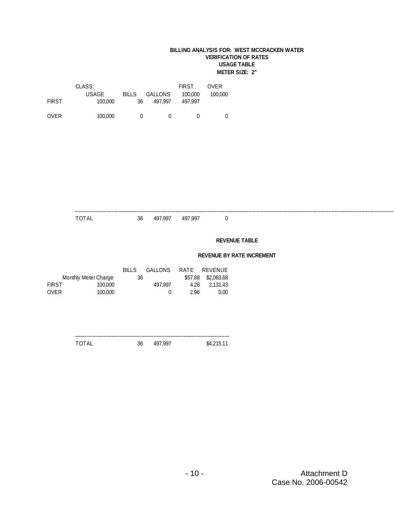### **BILLING ANALYSIS FOR: WEST MCCRACKEN WATER VERIFICATION OF RATES USAGE TABLE METER SIZE: 2"**

| <b>FIRST</b>         | CLASS:<br><b>USAGE</b><br>100,000 | <b>BILLS</b><br>36 | <b>GALLONS</b><br>497,997 | <b>FIRST</b><br>100,000<br>497,997 | OVER<br>100,000       |                                  |
|----------------------|-----------------------------------|--------------------|---------------------------|------------------------------------|-----------------------|----------------------------------|
| OVER                 | 100,000                           | $\pmb{0}$          | $\pmb{0}$                 | $\pmb{0}$                          | $\pmb{0}$             |                                  |
|                      |                                   |                    |                           |                                    |                       |                                  |
|                      |                                   |                    |                           |                                    |                       |                                  |
|                      |                                   |                    |                           |                                    |                       |                                  |
|                      |                                   |                    |                           |                                    |                       |                                  |
|                      | <b>TOTAL</b>                      | 36                 | 497,997                   | 497,997                            | $\pmb{0}$             |                                  |
|                      |                                   |                    |                           |                                    |                       | <b>REVENUE TABLE</b>             |
|                      |                                   |                    |                           |                                    |                       | <b>REVENUE BY RATE INCREMENT</b> |
|                      | Monthly Meter Charge              | <b>BILLS</b><br>36 | <b>GALLONS</b>            | RATE<br>\$57.88                    | REVENUE<br>\$2,083.68 |                                  |
| <b>FIRST</b><br>OVER | 100,000<br>100,000                |                    | 497,997<br>$\pmb{0}$      | 4.28<br>2.96                       | 2,131.43<br>0.00      |                                  |
|                      |                                   |                    |                           |                                    |                       |                                  |
|                      | <b>TOTAL</b>                      | 36                 | 497,997                   |                                    | \$4,215.11            |                                  |
|                      |                                   |                    |                           |                                    |                       |                                  |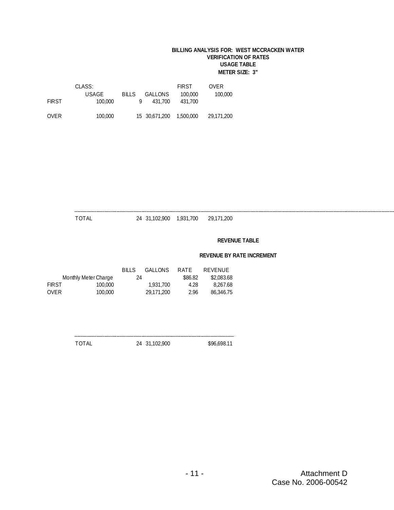### **BILLING ANALYSIS FOR: WEST MCCRACKEN WATER VERIFICATION OF RATES USAGE TABLE METER SIZE: 3"**

| <b>FIRST</b> | CLASS:<br><b>USAGE</b><br>100,000 | <b>BILLS</b><br>9 | GALLONS<br>431.700 | <b>FIRST</b><br>100.000<br>431.700 | <b>OVER</b><br>100,000 |  |
|--------------|-----------------------------------|-------------------|--------------------|------------------------------------|------------------------|--|
| <b>OVER</b>  | 100,000                           |                   | 15 30,671,200      | 1,500,000                          | 29,171,200             |  |

------------------------------------------------------------------------------------------------------------------------------------------------------------------------------------------------------------------- TOTAL 24 31,102,900 1,931,700 29,171,200

### **REVENUE TABLE**

|              |                      | <b>BILLS</b> | <b>GALLONS</b> | RATE    | REVENUE    |
|--------------|----------------------|--------------|----------------|---------|------------|
|              | Monthly Meter Charge | 24           |                | \$86.82 | \$2,083,68 |
| <b>FIRST</b> | 100.000              |              | 1.931.700      | 4.28    | 8.267.68   |
| <b>OVER</b>  | 100,000              |              | 29.171.200     | 2.96    | 86.346.75  |

| ว⊿<br>ъ.<br>ч | . K. |
|---------------|------|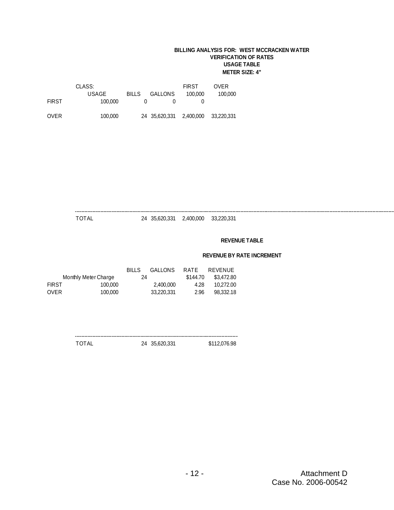### **BILLING ANALYSIS FOR: WEST MCCRACKEN WATER VERIFICATION OF RATES USAGE TABLE METER SIZE: 4"**

|              | CLASS:       |              |                | <b>FIRST</b> | <b>OVER</b> |  |
|--------------|--------------|--------------|----------------|--------------|-------------|--|
|              | <b>USAGE</b> | <b>BILLS</b> | <b>GALLONS</b> | 100.000      | 100.000     |  |
| <b>FIRST</b> | 100,000      |              |                |              |             |  |
| <b>OVER</b>  | 100,000      |              | 24 35,620,331  | 2,400,000    | 33,220,331  |  |

------------------------------------------------------------------------------------------------------------------------------------------------------------------------------------------------------------------- TOTAL 24 35,620,331 2,400,000 33,220,331

### **REVENUE TABLE**

|              |                      | <b>BILLS</b> | <b>GALLONS</b> | RATE     | REVENUE    |
|--------------|----------------------|--------------|----------------|----------|------------|
|              | Monthly Meter Charge | 24           |                | \$144.70 | \$3.472.80 |
| <b>FIRST</b> | 100,000              |              | 2.400.000      | 4.28     | 10.272.00  |
| <b>OVER</b>  | 100,000              |              | 33,220,331     | 2.96     | 98.332.18  |

| ⊤OTA∟ | 24 35,620,331 | \$112.076.98 |
|-------|---------------|--------------|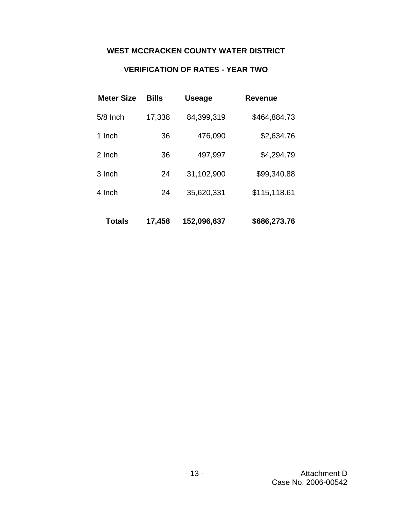# **WEST MCCRACKEN COUNTY WATER DISTRICT**

# **VERIFICATION OF RATES - YEAR TWO**

| <b>Meter Size</b> | <b>Bills</b> | <b>Useage</b> | <b>Revenue</b> |
|-------------------|--------------|---------------|----------------|
| $5/8$ Inch        | 17,338       | 84,399,319    | \$464,884.73   |
| 1 Inch            | 36           | 476,090       | \$2,634.76     |
| 2 Inch            | 36           | 497,997       | \$4,294.79     |
| 3 Inch            | 24           | 31,102,900    | \$99,340.88    |
| 4 Inch            | 24           | 35,620,331    | \$115,118.61   |
| <b>Totals</b>     | 17,458       | 152,096,637   | \$686,273.76   |
|                   |              |               |                |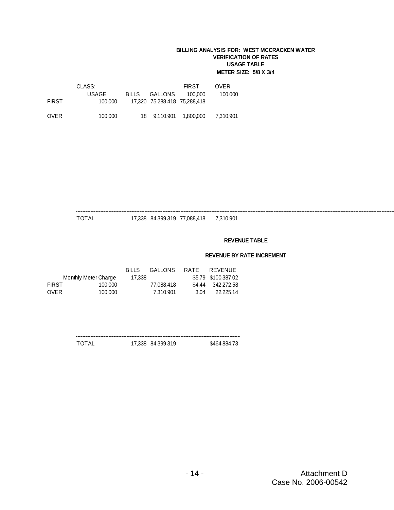### **BILLING ANALYSIS FOR: WEST MCCRACKEN WATER VERIFICATION OF RATES USAGE TABLE METER SIZE: 5/8 X 3/4**

|              | CLASS:       |              |                              | <b>FIRST</b> | <b>OVER</b> |
|--------------|--------------|--------------|------------------------------|--------------|-------------|
|              | <b>USAGE</b> | <b>BILLS</b> | GALLONS                      | 100.000      | 100.000     |
| <b>FIRST</b> | 100.000      |              | 17,320 75,288,418 75,288,418 |              |             |
| <b>OVER</b>  | 100,000      | 18           |                              |              | 7,310,901   |

----------------------------------------------------------------------------------------------------------------------------------------------------------------------------------------------------------------- TOTAL 17,338 84,399,319 77,088,418 7,310,901

### **REVENUE TABLE**

|              |                      | <b>BILLS</b> | GALLONS    | RATE | REVENUE             |
|--------------|----------------------|--------------|------------|------|---------------------|
|              | Monthly Meter Charge | 17.338       |            |      | \$5.79 \$100,387.02 |
| <b>FIRST</b> | 100.000              |              | 77.088.418 |      | \$4.44 342,272.58   |
| <b>OVER</b>  | 100,000              |              | 7,310,901  | 3.04 | 22.225.14           |

|       |                   | ------------------------------- |
|-------|-------------------|---------------------------------|
| TOTAL | 17,338 84,399,319 | \$464,884.73                    |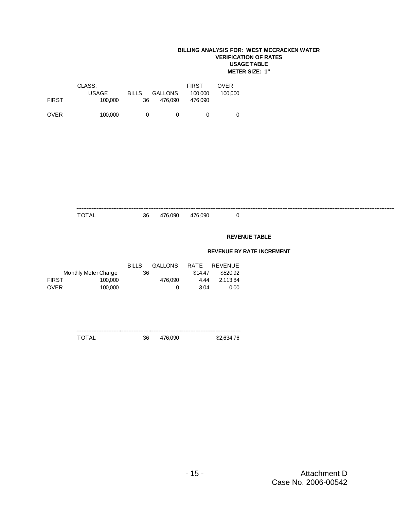### **BILLING ANALYSIS FOR: WEST MCCRACKEN WATER VERIFICATION OF RATES USAGE TABLE METER SIZE: 1"**

| <b>FIRST</b> | CLASS:<br>USAGE<br>100,000      | <b>GALLONS</b><br><b>BILLS</b><br>36<br>476,090 | <b>FIRST</b><br>100,000<br>476,090 | <b>OVER</b><br>100,000           |  |
|--------------|---------------------------------|-------------------------------------------------|------------------------------------|----------------------------------|--|
| <b>OVER</b>  | 100,000                         | $\pmb{0}$<br>$\pmb{0}$                          | $\pmb{0}$                          | $\pmb{0}$                        |  |
|              |                                 |                                                 |                                    |                                  |  |
|              |                                 |                                                 |                                    |                                  |  |
|              |                                 |                                                 |                                    |                                  |  |
|              |                                 |                                                 |                                    |                                  |  |
|              |                                 |                                                 |                                    |                                  |  |
|              |                                 |                                                 |                                    |                                  |  |
|              |                                 |                                                 |                                    |                                  |  |
|              | <b>TOTAL</b>                    | 476,090<br>36                                   | 476,090                            | $\pmb{0}$                        |  |
|              |                                 |                                                 |                                    |                                  |  |
|              |                                 |                                                 |                                    | <b>REVENUE TABLE</b>             |  |
|              |                                 |                                                 |                                    | <b>REVENUE BY RATE INCREMENT</b> |  |
|              |                                 | <b>GALLONS</b><br><b>BILLS</b>                  | RATE                               | REVENUE                          |  |
| <b>FIRST</b> | Monthly Meter Charge<br>100,000 | 36<br>476,090                                   | \$14.47<br>4.44                    | \$520.92<br>2,113.84             |  |
| OVER         | 100,000                         | $\pmb{0}$                                       | 3.04                               | 0.00                             |  |
|              |                                 |                                                 |                                    |                                  |  |
|              |                                 |                                                 |                                    |                                  |  |
|              |                                 |                                                 |                                    |                                  |  |
|              | <b>TOTAL</b>                    | 36<br>476,090                                   |                                    | \$2,634.76                       |  |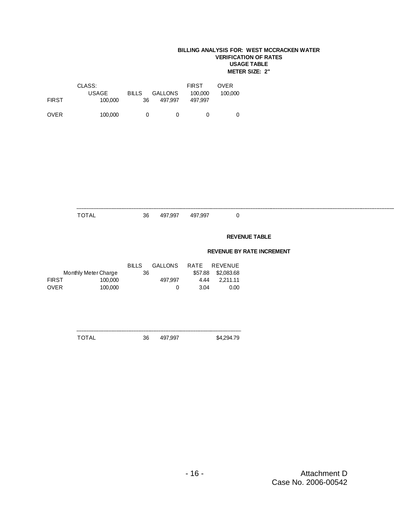### **BILLING ANALYSIS FOR: WEST MCCRACKEN WATER VERIFICATION OF RATES USAGE TABLE METER SIZE: 2"**

| <b>FIRST</b>                | CLASS:<br><b>USAGE</b><br>100,000 | <b>BILLS</b><br><b>GALLONS</b><br>36<br>497,997 | <b>FIRST</b><br>OVER<br>100,000<br>100,000<br>497,997 |                                  |
|-----------------------------|-----------------------------------|-------------------------------------------------|-------------------------------------------------------|----------------------------------|
| <b>OVER</b>                 | 100,000                           | $\pmb{0}$<br>$\pmb{0}$                          | $\pmb{0}$<br>$\pmb{0}$                                |                                  |
|                             |                                   |                                                 |                                                       |                                  |
|                             |                                   |                                                 |                                                       |                                  |
|                             |                                   |                                                 |                                                       |                                  |
|                             |                                   |                                                 |                                                       |                                  |
|                             | <b>TOTAL</b>                      | 36<br>497,997                                   | 497,997<br>$\mathbf 0$                                |                                  |
|                             |                                   |                                                 |                                                       | <b>REVENUE TABLE</b>             |
|                             |                                   |                                                 |                                                       | <b>REVENUE BY RATE INCREMENT</b> |
|                             | Monthly Meter Charge              | <b>GALLONS</b><br><b>BILLS</b><br>36            | RATE<br>REVENUE<br>\$2,083.68<br>\$57.88              |                                  |
| <b>FIRST</b><br><b>OVER</b> | 100,000<br>100,000                | 497,997<br>0                                    | 2,211.11<br>4.44<br>3.04<br>0.00                      |                                  |
|                             |                                   |                                                 |                                                       |                                  |
|                             |                                   |                                                 |                                                       |                                  |
|                             | <b>TOTAL</b>                      | 36<br>497,997                                   | \$4,294.79                                            |                                  |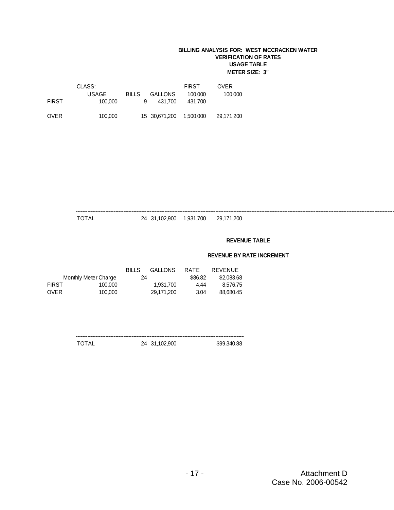### **BILLING ANALYSIS FOR: WEST MCCRACKEN WATER VERIFICATION OF RATES USAGE TABLE METER SIZE: 3"**

|              | CLASS:       |              |                | <b>FIRST</b> | <b>OVER</b> |
|--------------|--------------|--------------|----------------|--------------|-------------|
|              | <b>USAGE</b> | <b>BILLS</b> | <b>GALLONS</b> | 100.000      | 100,000     |
| <b>FIRST</b> | 100,000      | 9            | 431.700        | 431.700      |             |
| <b>OVER</b>  | 100.000      |              | 15 30.671.200  | 1,500,000    | 29,171,200  |

------------------------------------------------------------------------------------------------------------------------------------------------------------------------------------------------------------------- TOTAL 24 31,102,900 1,931,700 29,171,200

### **REVENUE TABLE**

|              |                      | <b>BILLS</b> | <b>GALLONS</b> | <b>RATE</b> | REVENUE    |
|--------------|----------------------|--------------|----------------|-------------|------------|
|              | Monthly Meter Charge | 24           |                | \$86.82     | \$2,083,68 |
| <b>FIRST</b> | 100,000              |              | 1.931.700      | 4.44        | 8.576.75   |
| <b>OVER</b>  | 100,000              |              | 29,171,200     | 3.04        | 88,680.45  |

| ົດເ | ա Հ |
|-----|-----|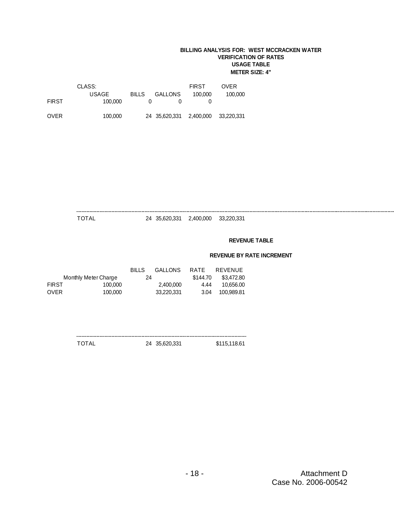### **BILLING ANALYSIS FOR: WEST MCCRACKEN WATER VERIFICATION OF RATES USAGE TABLE METER SIZE: 4"**

|              | CLASS:       |              |                | <b>FIRST</b> | <b>OVER</b> |
|--------------|--------------|--------------|----------------|--------------|-------------|
|              | <b>USAGE</b> | <b>BILLS</b> | <b>GALLONS</b> | 100.000      | 100.000     |
| <b>FIRST</b> | 100.000      |              |                |              |             |
| <b>OVER</b>  | 100,000      |              | 24 35,620,331  | 2,400,000    | 33.220.331  |

------------------------------------------------------------------------------------------------------------------------------------------------------------------------------------------------- TOTAL 24 35,620,331 2,400,000 33,220,331

### **REVENUE TABLE**

|              |                      | <b>BILLS</b> | <b>GALLONS</b> | RATE     | REVENUE    |
|--------------|----------------------|--------------|----------------|----------|------------|
|              | Monthly Meter Charge | 24           |                | \$144.70 | \$3.472.80 |
| <b>FIRST</b> | 100.000              |              | 2.400.000      | 4.44     | 10.656.00  |
| <b>OVER</b>  | 100.000              |              | 33,220,331     | 3.04     | 100,989.81 |

| OF COO OOA | c۸ |
|------------|----|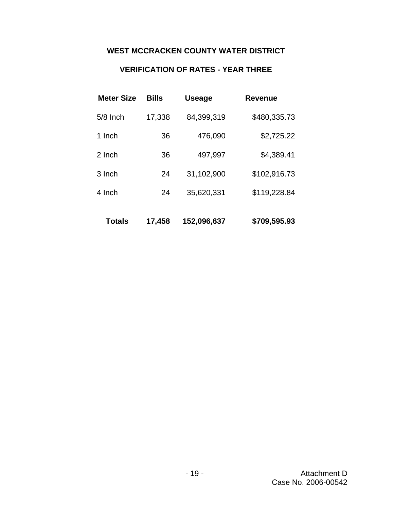# **WEST MCCRACKEN COUNTY WATER DISTRICT**

# **VERIFICATION OF RATES - YEAR THREE**

| <b>Meter Size</b> | <b>Bills</b> | <b>Useage</b> | <b>Revenue</b> |
|-------------------|--------------|---------------|----------------|
| $5/8$ Inch        | 17,338       | 84,399,319    | \$480,335.73   |
| 1 Inch            | 36           | 476,090       | \$2,725.22     |
| 2 Inch            | 36           | 497,997       | \$4,389.41     |
| 3 Inch            | 24           | 31,102,900    | \$102,916.73   |
| 4 Inch            | 24           | 35,620,331    | \$119,228.84   |
|                   |              |               |                |
| Totals            | 17,458       | 152,096,637   | \$709,595.93   |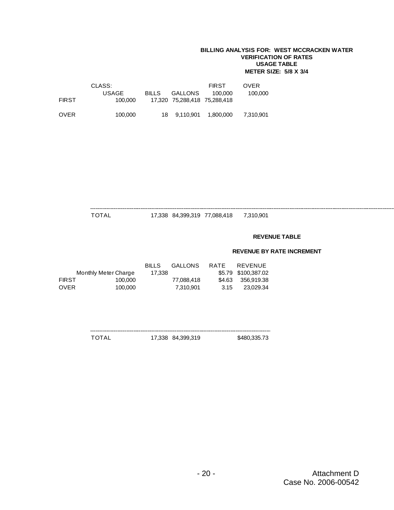### **BILLING ANALYSIS FOR: WEST MCCRACKEN WATER VERIFICATION OF RATES USAGE TABLE METER SIZE: 5/8 X 3/4**

|              | CLASS:  |        |                              | <b>FIRST</b> | <b>OVER</b> |
|--------------|---------|--------|------------------------------|--------------|-------------|
|              | USAGE   | BILLS. | GALLONS                      | 100.000      | 100,000     |
| <b>FIRST</b> | 100.000 |        | 17,320 75,288,418 75,288,418 |              |             |
| <b>OVER</b>  | 100,000 | 18 -   | 9.110.901                    | 1.800.000    | 7,310,901   |

----------------------------------------------------------------------------------------------------------------------------------------------------------------------------- TOTAL 17,338 84,399,319 77,088,418 7,310,901

### **REVENUE TABLE**

|              |                      | <b>BILLS</b> | <b>GALLONS</b> | <b>RATE</b> | REVENUE             |
|--------------|----------------------|--------------|----------------|-------------|---------------------|
|              | Monthly Meter Charge | 17,338       |                |             | \$5.79 \$100,387.02 |
| <b>FIRST</b> | 100.000              |              | 77.088.418     |             | \$4.63 356.919.38   |
| <b>OVER</b>  | 100.000              |              | 7.310.901      | 3.15        | 23.029.34           |

| TOTAL | 17,338 84,399,319 | \$480,335.73 |
|-------|-------------------|--------------|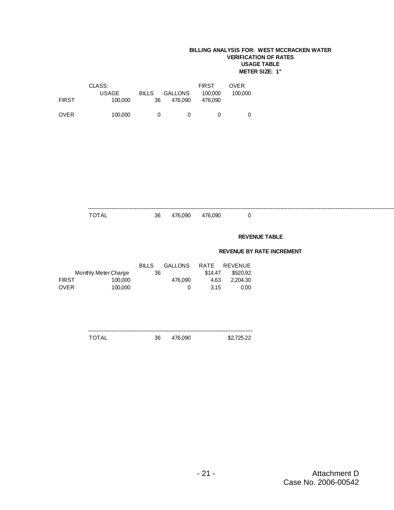### **BILLING ANALYSIS FOR: WEST MCCRACKEN WATER VERIFICATION OF RATES USAGE TABLE METER SIZE: 1"**

| <b>FIRST</b>                | CLASS:<br>USAGE<br>100,000 | <b>BILLS</b><br>36 | <b>GALLONS</b><br>476,090 | <b>FIRST</b><br>100,000<br>476,090 | OVER<br>100,000  |                                  |
|-----------------------------|----------------------------|--------------------|---------------------------|------------------------------------|------------------|----------------------------------|
| OVER                        | 100,000                    | $\pmb{0}$          | $\mathbf 0$               | $\,0\,$                            | $\,0\,$          |                                  |
|                             |                            |                    |                           |                                    |                  |                                  |
|                             |                            |                    |                           |                                    |                  |                                  |
|                             |                            |                    |                           |                                    |                  |                                  |
|                             |                            |                    |                           |                                    |                  |                                  |
|                             |                            |                    |                           |                                    |                  |                                  |
|                             |                            |                    |                           |                                    |                  |                                  |
|                             |                            |                    |                           |                                    |                  |                                  |
|                             | <b>TOTAL</b>               | 36                 | 476,090                   | 476,090                            | $\pmb{0}$        |                                  |
|                             |                            |                    |                           |                                    |                  |                                  |
|                             |                            |                    |                           |                                    |                  | <b>REVENUE TABLE</b>             |
|                             |                            |                    |                           |                                    |                  | <b>REVENUE BY RATE INCREMENT</b> |
|                             |                            | <b>BILLS</b>       | <b>GALLONS</b>            | RATE                               | <b>REVENUE</b>   |                                  |
|                             | Monthly Meter Charge       | 36                 |                           | \$14.47                            | \$520.92         |                                  |
|                             | 100,000<br>100,000         |                    | 476,090<br>$\pmb{0}$      | 4.63<br>3.15                       | 2,204.30<br>0.00 |                                  |
|                             |                            |                    |                           |                                    |                  |                                  |
| <b>FIRST</b><br><b>OVER</b> |                            |                    |                           |                                    |                  |                                  |
|                             |                            |                    |                           |                                    |                  |                                  |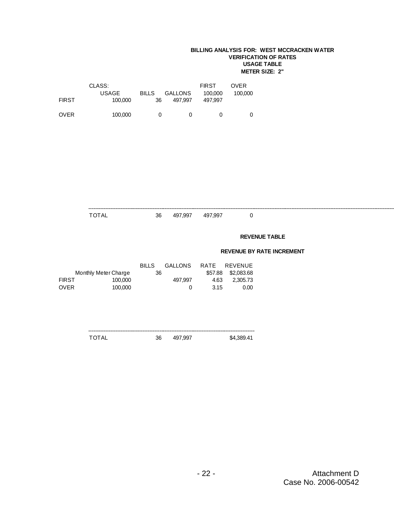### **BILLING ANALYSIS FOR: WEST MCCRACKEN WATER VERIFICATION OF RATES USAGE TABLE METER SIZE: 2"**

|              | CLASS:<br><b>USAGE</b>          | <b>BILLS</b> | <b>GALLONS</b> | <b>FIRST</b><br>100,000 | <b>OVER</b><br>100,000 |                                  |
|--------------|---------------------------------|--------------|----------------|-------------------------|------------------------|----------------------------------|
| <b>FIRST</b> | 100,000                         | 36           | 497,997        | 497,997                 |                        |                                  |
| OVER         | 100,000                         | $\mathbf 0$  | $\pmb{0}$      | $\pmb{0}$               | $\mathbf 0$            |                                  |
|              |                                 |              |                |                         |                        |                                  |
|              |                                 |              |                |                         |                        |                                  |
|              |                                 |              |                |                         |                        |                                  |
|              |                                 |              |                |                         |                        |                                  |
|              |                                 |              |                |                         |                        |                                  |
|              |                                 |              |                |                         |                        |                                  |
|              |                                 |              |                |                         |                        |                                  |
|              |                                 |              |                |                         |                        |                                  |
|              | <b>TOTAL</b>                    | 36           | 497,997        | 497,997                 | $\pmb{0}$              |                                  |
|              |                                 |              |                |                         |                        |                                  |
|              |                                 |              |                |                         |                        | <b>REVENUE TABLE</b>             |
|              |                                 |              |                |                         |                        | <b>REVENUE BY RATE INCREMENT</b> |
|              |                                 | <b>BILLS</b> | <b>GALLONS</b> | RATE                    | REVENUE                |                                  |
| <b>FIRST</b> | Monthly Meter Charge<br>100,000 | 36           | 497,997        | \$57.88<br>4.63         | \$2,083.68<br>2,305.73 |                                  |
| <b>OVER</b>  | 100,000                         |              | $\,0\,$        | 3.15                    | 0.00                   |                                  |
|              |                                 |              |                |                         |                        |                                  |
|              |                                 |              |                |                         |                        |                                  |
|              |                                 |              |                |                         |                        |                                  |
|              | <b>TOTAL</b>                    | 36           | 497,997        |                         | \$4,389.41             |                                  |
|              |                                 |              |                |                         |                        |                                  |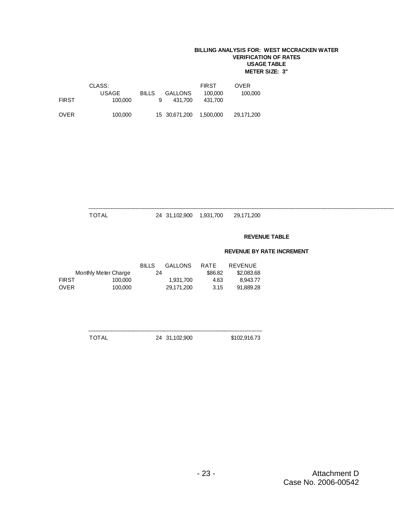### **BILLING ANALYSIS FOR: WEST MCCRACKEN WATER VERIFICATION OF RATES USAGE TABLE METER SIZE: 3"**

|              | CLASS:       |              |                | <b>FIRST</b> | <b>OVER</b> |
|--------------|--------------|--------------|----------------|--------------|-------------|
|              | <b>USAGE</b> | <b>BILLS</b> | <b>GALLONS</b> | 100.000      | 100.000     |
| <b>FIRST</b> | 100.000      | 9            | 431.700        | 431.700      |             |
| <b>OVER</b>  | 100.000      |              | 15 30,671,200  | 1,500,000    | 29,171,200  |

------------------------------------------------------------------------------------------------------------------------------------------------------------------------------------------------- TOTAL 24 31,102,900 1,931,700 29,171,200

### **REVENUE TABLE**

|              |                      | <b>BILLS</b> | <b>GALLONS</b> | <b>RATE</b> | REVENUE    |
|--------------|----------------------|--------------|----------------|-------------|------------|
|              | Monthly Meter Charge | 24           |                | \$86.82     | \$2,083,68 |
| <b>FIRST</b> | 100.000              |              | 1.931.700      | 4.63        | 8.943.77   |
| <b>OVER</b>  | 100.000              |              | 29.171.200     | 3.15        | 91.889.28  |

| <b>TOTAL</b> | 24 31,102,900 | \$102,916.73 |
|--------------|---------------|--------------|